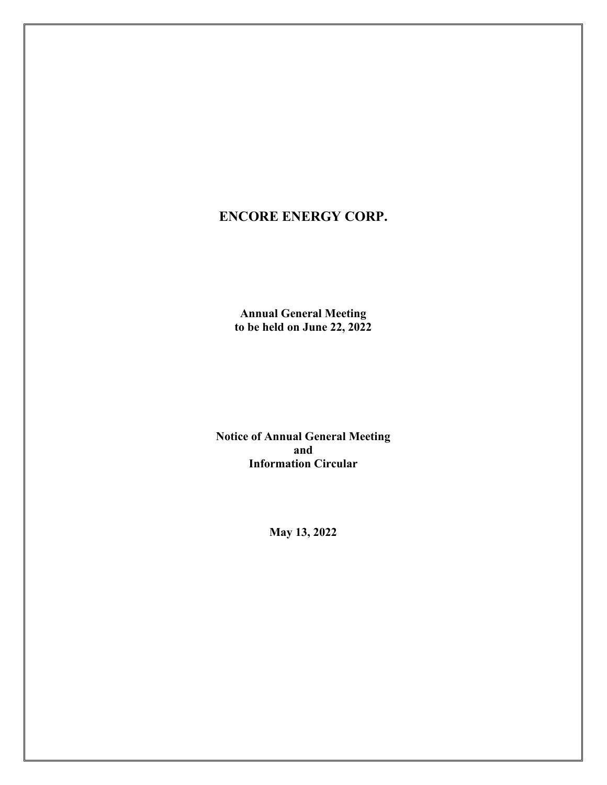# **ENCORE ENERGY CORP.**

**Annual General Meeting to be held on June 22, 2022** 

**Notice of Annual General Meeting and Information Circular** 

**May 13, 2022**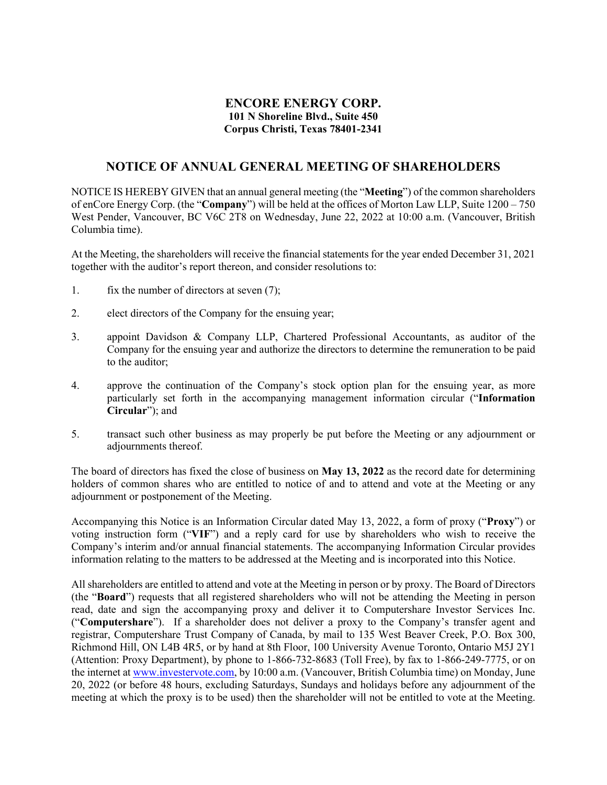# **ENCORE ENERGY CORP. 101 N Shoreline Blvd., Suite 450 Corpus Christi, Texas 78401-2341**

# **NOTICE OF ANNUAL GENERAL MEETING OF SHAREHOLDERS**

NOTICE IS HEREBY GIVEN that an annual general meeting (the "**Meeting**") of the common shareholders of enCore Energy Corp. (the "**Company**") will be held at the offices of Morton Law LLP, Suite 1200 – 750 West Pender, Vancouver, BC V6C 2T8 on Wednesday, June 22, 2022 at 10:00 a.m. (Vancouver, British Columbia time).

At the Meeting, the shareholders will receive the financial statements for the year ended December 31, 2021 together with the auditor's report thereon, and consider resolutions to:

- 1. fix the number of directors at seven (7);
- 2. elect directors of the Company for the ensuing year;
- 3. appoint Davidson & Company LLP, Chartered Professional Accountants, as auditor of the Company for the ensuing year and authorize the directors to determine the remuneration to be paid to the auditor;
- 4. approve the continuation of the Company's stock option plan for the ensuing year, as more particularly set forth in the accompanying management information circular ("**Information Circular**"); and
- 5. transact such other business as may properly be put before the Meeting or any adjournment or adjournments thereof.

The board of directors has fixed the close of business on **May 13, 2022** as the record date for determining holders of common shares who are entitled to notice of and to attend and vote at the Meeting or any adjournment or postponement of the Meeting.

Accompanying this Notice is an Information Circular dated May 13, 2022, a form of proxy ("**Proxy**") or voting instruction form ("**VIF**") and a reply card for use by shareholders who wish to receive the Company's interim and/or annual financial statements. The accompanying Information Circular provides information relating to the matters to be addressed at the Meeting and is incorporated into this Notice.

All shareholders are entitled to attend and vote at the Meeting in person or by proxy. The Board of Directors (the "**Board**") requests that all registered shareholders who will not be attending the Meeting in person read, date and sign the accompanying proxy and deliver it to Computershare Investor Services Inc. ("**Computershare**"). If a shareholder does not deliver a proxy to the Company's transfer agent and registrar, Computershare Trust Company of Canada, by mail to 135 West Beaver Creek, P.O. Box 300, Richmond Hill, ON L4B 4R5, or by hand at 8th Floor, 100 University Avenue Toronto, Ontario M5J 2Y1 (Attention: Proxy Department), by phone to 1-866-732-8683 (Toll Free), by fax to 1-866-249-7775, or on the internet at [www.investervote.com,](https://urldefense.proofpoint.com/v2/url?u=http-3A__www.investervote.com&d=DwMFAw&c=XYrWdXnqoGVNRPOyUELP3IXCOEKnVf1zLk3mv6_0vws&r=Tn57JXfF3LwLjYOTQv2FOvOY8aK7lY9rSN56h4QfLhc&m=0fp4PxBCb9ShgGrNOCIabmO2FdMMWpBCHsXhw-zEkvU&s=wvWOwVUjd1XqvAFhO8mL8wjlIL671JwtQH_lmlV8e40&e=) by 10:00 a.m. (Vancouver, British Columbia time) on Monday, June 20, 2022 (or before 48 hours, excluding Saturdays, Sundays and holidays before any adjournment of the meeting at which the proxy is to be used) then the shareholder will not be entitled to vote at the Meeting.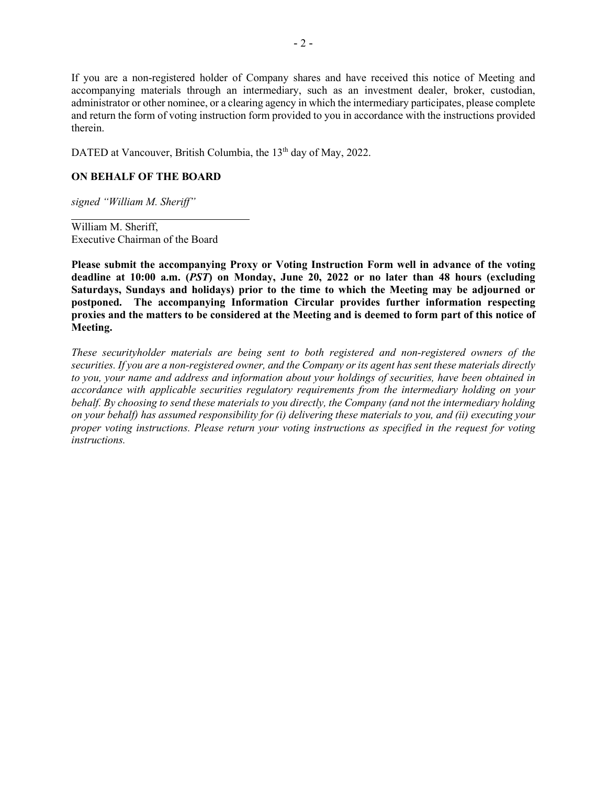If you are a non-registered holder of Company shares and have received this notice of Meeting and accompanying materials through an intermediary, such as an investment dealer, broker, custodian, administrator or other nominee, or a clearing agency in which the intermediary participates, please complete and return the form of voting instruction form provided to you in accordance with the instructions provided therein.

DATED at Vancouver, British Columbia, the 13<sup>th</sup> day of May, 2022.

# **ON BEHALF OF THE BOARD**

*signed "William M. Sheriff"*

William M. Sheriff, Executive Chairman of the Board

**Please submit the accompanying Proxy or Voting Instruction Form well in advance of the voting deadline at 10:00 a.m. (***PST***) on Monday, June 20, 2022 or no later than 48 hours (excluding Saturdays, Sundays and holidays) prior to the time to which the Meeting may be adjourned or postponed. The accompanying Information Circular provides further information respecting proxies and the matters to be considered at the Meeting and is deemed to form part of this notice of Meeting.**

*These securityholder materials are being sent to both registered and non-registered owners of the securities. If you are a non-registered owner, and the Company or its agent has sent these materials directly to you, your name and address and information about your holdings of securities, have been obtained in accordance with applicable securities regulatory requirements from the intermediary holding on your behalf. By choosing to send these materials to you directly, the Company (and not the intermediary holding on your behalf) has assumed responsibility for (i) delivering these materials to you, and (ii) executing your proper voting instructions. Please return your voting instructions as specified in the request for voting instructions.*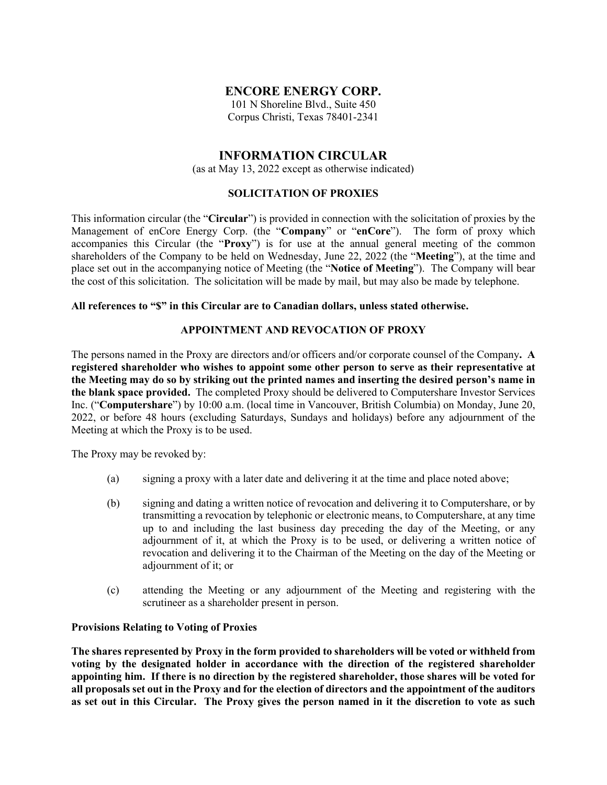# **ENCORE ENERGY CORP.**

101 N Shoreline Blvd., Suite 450 Corpus Christi, Texas 78401-2341

# **INFORMATION CIRCULAR**

(as at May 13, 2022 except as otherwise indicated)

### **SOLICITATION OF PROXIES**

This information circular (the "**Circular**") is provided in connection with the solicitation of proxies by the Management of enCore Energy Corp. (the "**Company**" or "**enCore**"). The form of proxy which accompanies this Circular (the "**Proxy**") is for use at the annual general meeting of the common shareholders of the Company to be held on Wednesday, June 22, 2022 (the "**Meeting**"), at the time and place set out in the accompanying notice of Meeting (the "**Notice of Meeting**"). The Company will bear the cost of this solicitation. The solicitation will be made by mail, but may also be made by telephone.

### **All references to "\$" in this Circular are to Canadian dollars, unless stated otherwise.**

### **APPOINTMENT AND REVOCATION OF PROXY**

The persons named in the Proxy are directors and/or officers and/or corporate counsel of the Company**. A registered shareholder who wishes to appoint some other person to serve as their representative at the Meeting may do so by striking out the printed names and inserting the desired person's name in the blank space provided.** The completed Proxy should be delivered to Computershare Investor Services Inc. ("**Computershare**") by 10:00 a.m. (local time in Vancouver, British Columbia) on Monday, June 20, 2022, or before 48 hours (excluding Saturdays, Sundays and holidays) before any adjournment of the Meeting at which the Proxy is to be used.

The Proxy may be revoked by:

- (a) signing a proxy with a later date and delivering it at the time and place noted above;
- (b) signing and dating a written notice of revocation and delivering it to Computershare, or by transmitting a revocation by telephonic or electronic means, to Computershare, at any time up to and including the last business day preceding the day of the Meeting, or any adjournment of it, at which the Proxy is to be used, or delivering a written notice of revocation and delivering it to the Chairman of the Meeting on the day of the Meeting or adjournment of it; or
- (c) attending the Meeting or any adjournment of the Meeting and registering with the scrutineer as a shareholder present in person.

### **Provisions Relating to Voting of Proxies**

**The shares represented by Proxy in the form provided to shareholders will be voted or withheld from voting by the designated holder in accordance with the direction of the registered shareholder appointing him. If there is no direction by the registered shareholder, those shares will be voted for all proposals set out in the Proxy and for the election of directors and the appointment of the auditors as set out in this Circular. The Proxy gives the person named in it the discretion to vote as such**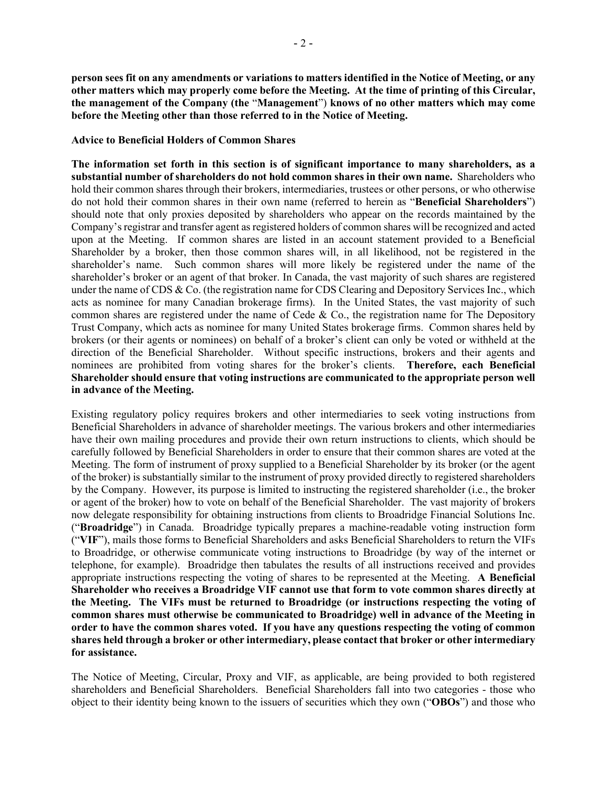**person sees fit on any amendments or variations to matters identified in the Notice of Meeting, or any other matters which may properly come before the Meeting. At the time of printing of this Circular, the management of the Company (the** "**Management**") **knows of no other matters which may come before the Meeting other than those referred to in the Notice of Meeting.**

#### **Advice to Beneficial Holders of Common Shares**

**The information set forth in this section is of significant importance to many shareholders, as a substantial number of shareholders do not hold common shares in their own name.** Shareholders who hold their common shares through their brokers, intermediaries, trustees or other persons, or who otherwise do not hold their common shares in their own name (referred to herein as "**Beneficial Shareholders**") should note that only proxies deposited by shareholders who appear on the records maintained by the Company's registrar and transfer agent as registered holders of common shares will be recognized and acted upon at the Meeting. If common shares are listed in an account statement provided to a Beneficial Shareholder by a broker, then those common shares will, in all likelihood, not be registered in the shareholder's name. Such common shares will more likely be registered under the name of the shareholder's broker or an agent of that broker. In Canada, the vast majority of such shares are registered under the name of CDS & Co. (the registration name for CDS Clearing and Depository Services Inc., which acts as nominee for many Canadian brokerage firms). In the United States, the vast majority of such common shares are registered under the name of Cede & Co., the registration name for The Depository Trust Company, which acts as nominee for many United States brokerage firms. Common shares held by brokers (or their agents or nominees) on behalf of a broker's client can only be voted or withheld at the direction of the Beneficial Shareholder. Without specific instructions, brokers and their agents and nominees are prohibited from voting shares for the broker's clients. **Therefore, each Beneficial Shareholder should ensure that voting instructions are communicated to the appropriate person well in advance of the Meeting.**

Existing regulatory policy requires brokers and other intermediaries to seek voting instructions from Beneficial Shareholders in advance of shareholder meetings. The various brokers and other intermediaries have their own mailing procedures and provide their own return instructions to clients, which should be carefully followed by Beneficial Shareholders in order to ensure that their common shares are voted at the Meeting. The form of instrument of proxy supplied to a Beneficial Shareholder by its broker (or the agent of the broker) is substantially similar to the instrument of proxy provided directly to registered shareholders by the Company. However, its purpose is limited to instructing the registered shareholder (i.e., the broker or agent of the broker) how to vote on behalf of the Beneficial Shareholder. The vast majority of brokers now delegate responsibility for obtaining instructions from clients to Broadridge Financial Solutions Inc. ("**Broadridge**") in Canada. Broadridge typically prepares a machine-readable voting instruction form ("**VIF**"), mails those forms to Beneficial Shareholders and asks Beneficial Shareholders to return the VIFs to Broadridge, or otherwise communicate voting instructions to Broadridge (by way of the internet or telephone, for example). Broadridge then tabulates the results of all instructions received and provides appropriate instructions respecting the voting of shares to be represented at the Meeting. **A Beneficial Shareholder who receives a Broadridge VIF cannot use that form to vote common shares directly at the Meeting. The VIFs must be returned to Broadridge (or instructions respecting the voting of common shares must otherwise be communicated to Broadridge) well in advance of the Meeting in order to have the common shares voted. If you have any questions respecting the voting of common shares held through a broker or other intermediary, please contact that broker or other intermediary for assistance.**

The Notice of Meeting, Circular, Proxy and VIF, as applicable, are being provided to both registered shareholders and Beneficial Shareholders. Beneficial Shareholders fall into two categories - those who object to their identity being known to the issuers of securities which they own ("**OBOs**") and those who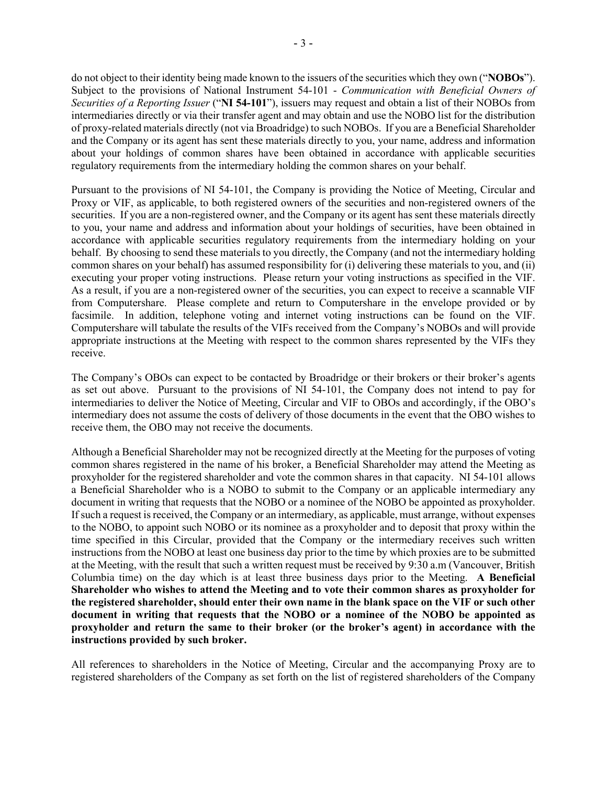do not object to their identity being made known to the issuers of the securities which they own ("**NOBOs**"). Subject to the provisions of National Instrument 54-101 - *Communication with Beneficial Owners of Securities of a Reporting Issuer* ("**NI 54-101**"), issuers may request and obtain a list of their NOBOs from intermediaries directly or via their transfer agent and may obtain and use the NOBO list for the distribution of proxy-related materials directly (not via Broadridge) to such NOBOs. If you are a Beneficial Shareholder and the Company or its agent has sent these materials directly to you, your name, address and information about your holdings of common shares have been obtained in accordance with applicable securities regulatory requirements from the intermediary holding the common shares on your behalf.

Pursuant to the provisions of NI 54-101, the Company is providing the Notice of Meeting, Circular and Proxy or VIF, as applicable, to both registered owners of the securities and non-registered owners of the securities. If you are a non-registered owner, and the Company or its agent has sent these materials directly to you, your name and address and information about your holdings of securities, have been obtained in accordance with applicable securities regulatory requirements from the intermediary holding on your behalf. By choosing to send these materials to you directly, the Company (and not the intermediary holding common shares on your behalf) has assumed responsibility for (i) delivering these materials to you, and (ii) executing your proper voting instructions. Please return your voting instructions as specified in the VIF. As a result, if you are a non-registered owner of the securities, you can expect to receive a scannable VIF from Computershare.Please complete and return to Computershare in the envelope provided or by facsimile. In addition, telephone voting and internet voting instructions can be found on the VIF. Computershare will tabulate the results of the VIFs received from the Company's NOBOs and will provide appropriate instructions at the Meeting with respect to the common shares represented by the VIFs they receive.

The Company's OBOs can expect to be contacted by Broadridge or their brokers or their broker's agents as set out above. Pursuant to the provisions of NI 54-101, the Company does not intend to pay for intermediaries to deliver the Notice of Meeting, Circular and VIF to OBOs and accordingly, if the OBO's intermediary does not assume the costs of delivery of those documents in the event that the OBO wishes to receive them, the OBO may not receive the documents.

Although a Beneficial Shareholder may not be recognized directly at the Meeting for the purposes of voting common shares registered in the name of his broker, a Beneficial Shareholder may attend the Meeting as proxyholder for the registered shareholder and vote the common shares in that capacity. NI 54-101 allows a Beneficial Shareholder who is a NOBO to submit to the Company or an applicable intermediary any document in writing that requests that the NOBO or a nominee of the NOBO be appointed as proxyholder. If such a request is received, the Company or an intermediary, as applicable, must arrange, without expenses to the NOBO, to appoint such NOBO or its nominee as a proxyholder and to deposit that proxy within the time specified in this Circular, provided that the Company or the intermediary receives such written instructions from the NOBO at least one business day prior to the time by which proxies are to be submitted at the Meeting, with the result that such a written request must be received by 9:30 a.m (Vancouver, British Columbia time) on the day which is at least three business days prior to the Meeting. **A Beneficial Shareholder who wishes to attend the Meeting and to vote their common shares as proxyholder for the registered shareholder, should enter their own name in the blank space on the VIF or such other document in writing that requests that the NOBO or a nominee of the NOBO be appointed as proxyholder and return the same to their broker (or the broker's agent) in accordance with the instructions provided by such broker.**

All references to shareholders in the Notice of Meeting, Circular and the accompanying Proxy are to registered shareholders of the Company as set forth on the list of registered shareholders of the Company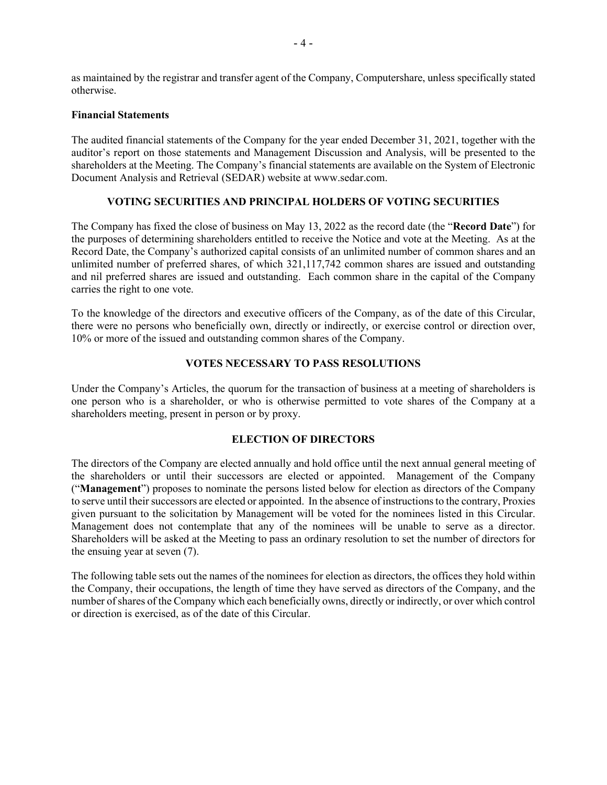as maintained by the registrar and transfer agent of the Company, Computershare, unless specifically stated otherwise.

### **Financial Statements**

The audited financial statements of the Company for the year ended December 31, 2021, together with the auditor's report on those statements and Management Discussion and Analysis, will be presented to the shareholders at the Meeting. The Company's financial statements are available on the System of Electronic Document Analysis and Retrieval (SEDAR) website a[t www.sedar.com.](http://www.sedar.com/)

## **VOTING SECURITIES AND PRINCIPAL HOLDERS OF VOTING SECURITIES**

The Company has fixed the close of business on May 13, 2022 as the record date (the "**Record Date**") for the purposes of determining shareholders entitled to receive the Notice and vote at the Meeting. As at the Record Date, the Company's authorized capital consists of an unlimited number of common shares and an unlimited number of preferred shares, of which 321,117,742 common shares are issued and outstanding and nil preferred shares are issued and outstanding. Each common share in the capital of the Company carries the right to one vote.

To the knowledge of the directors and executive officers of the Company, as of the date of this Circular, there were no persons who beneficially own, directly or indirectly, or exercise control or direction over, 10% or more of the issued and outstanding common shares of the Company.

## **VOTES NECESSARY TO PASS RESOLUTIONS**

Under the Company's Articles, the quorum for the transaction of business at a meeting of shareholders is one person who is a shareholder, or who is otherwise permitted to vote shares of the Company at a shareholders meeting, present in person or by proxy.

# **ELECTION OF DIRECTORS**

The directors of the Company are elected annually and hold office until the next annual general meeting of the shareholders or until their successors are elected or appointed. Management of the Company ("**Management**") proposes to nominate the persons listed below for election as directors of the Company to serve until their successors are elected or appointed. In the absence of instructions to the contrary, Proxies given pursuant to the solicitation by Management will be voted for the nominees listed in this Circular. Management does not contemplate that any of the nominees will be unable to serve as a director. Shareholders will be asked at the Meeting to pass an ordinary resolution to set the number of directors for the ensuing year at seven (7).

The following table sets out the names of the nominees for election as directors, the offices they hold within the Company, their occupations, the length of time they have served as directors of the Company, and the number of shares of the Company which each beneficially owns, directly or indirectly, or over which control or direction is exercised, as of the date of this Circular.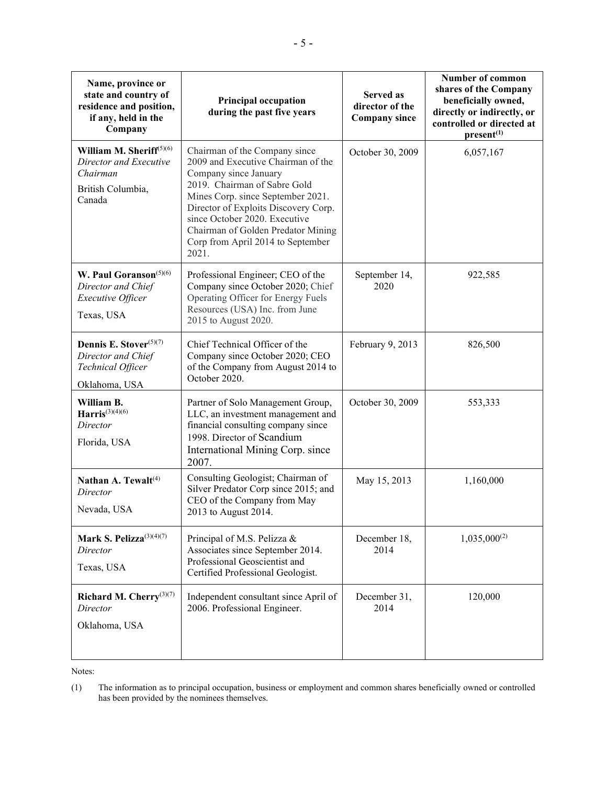| Name, province or<br>state and country of<br>residence and position,<br>if any, held in the<br>Company | <b>Principal occupation</b><br>during the past five years                                                                                                                                                                                                                                                                      | <b>Served as</b><br>director of the<br><b>Company since</b> | <b>Number of common</b><br>shares of the Company<br>beneficially owned,<br>directly or indirectly, or<br>controlled or directed at<br>present <sup>(1)</sup> |
|--------------------------------------------------------------------------------------------------------|--------------------------------------------------------------------------------------------------------------------------------------------------------------------------------------------------------------------------------------------------------------------------------------------------------------------------------|-------------------------------------------------------------|--------------------------------------------------------------------------------------------------------------------------------------------------------------|
| William M. Sheriff $(5)(6)$<br>Director and Executive<br>Chairman<br>British Columbia,<br>Canada       | Chairman of the Company since<br>2009 and Executive Chairman of the<br>Company since January<br>2019. Chairman of Sabre Gold<br>Mines Corp. since September 2021.<br>Director of Exploits Discovery Corp.<br>since October 2020. Executive<br>Chairman of Golden Predator Mining<br>Corp from April 2014 to September<br>2021. | October 30, 2009                                            | 6,057,167                                                                                                                                                    |
| W. Paul Goranson <sup>(5)(6)</sup><br>Director and Chief<br>Executive Officer<br>Texas, USA            | Professional Engineer; CEO of the<br>Company since October 2020; Chief<br>Operating Officer for Energy Fuels<br>Resources (USA) Inc. from June<br>2015 to August 2020.                                                                                                                                                         | September 14,<br>2020                                       | 922,585                                                                                                                                                      |
| Dennis E. Stover <sup>(5)(7)</sup><br>Director and Chief<br>Technical Officer<br>Oklahoma, USA         | Chief Technical Officer of the<br>Company since October 2020; CEO<br>of the Company from August 2014 to<br>October 2020.                                                                                                                                                                                                       | February 9, 2013                                            | 826,500                                                                                                                                                      |
| William B.<br>Harris <sup>(3)(4)(6)</sup><br>Director<br>Florida, USA                                  | Partner of Solo Management Group,<br>LLC, an investment management and<br>financial consulting company since<br>1998. Director of Scandium<br>International Mining Corp. since<br>2007.                                                                                                                                        | October 30, 2009                                            | 553,333                                                                                                                                                      |
| Nathan A. Tewalt <sup>(4)</sup><br>Director<br>Nevada, USA                                             | Consulting Geologist; Chairman of<br>Silver Predator Corp since 2015; and<br>CEO of the Company from May<br>2013 to August 2014.                                                                                                                                                                                               | May 15, 2013                                                | 1,160,000                                                                                                                                                    |
| Mark S. Pelizza <sup>(3)(4)(7)</sup><br>Director<br>Texas, USA                                         | Principal of M.S. Pelizza &<br>Associates since September 2014.<br>Professional Geoscientist and<br>Certified Professional Geologist.                                                                                                                                                                                          | December 18,<br>2014                                        | $1,035,000^{(2)}$                                                                                                                                            |
| Richard M. Cherry <sup>(3)(7)</sup><br>Director<br>Oklahoma, USA                                       | Independent consultant since April of<br>2006. Professional Engineer.                                                                                                                                                                                                                                                          | December 31,<br>2014                                        | 120,000                                                                                                                                                      |

Notes:

<sup>(1)</sup> The information as to principal occupation, business or employment and common shares beneficially owned or controlled has been provided by the nominees themselves.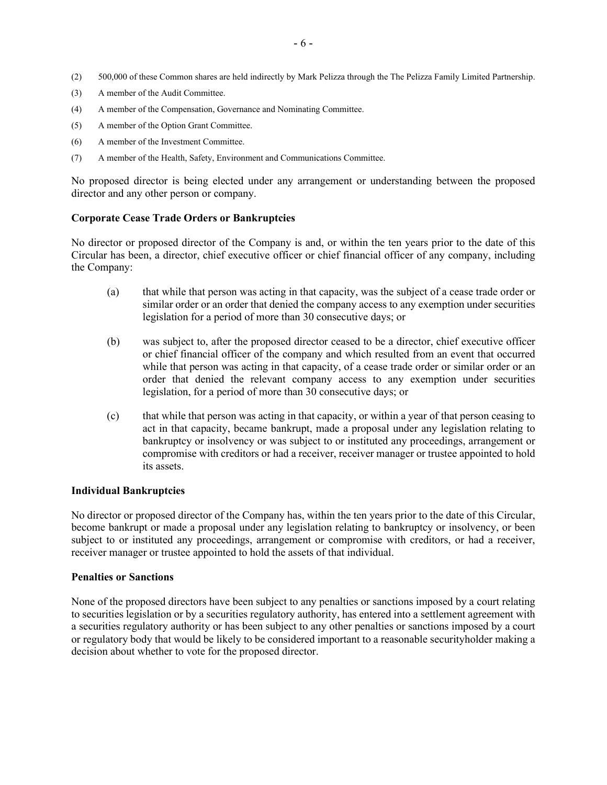- (2) 500,000 of these Common shares are held indirectly by Mark Pelizza through the The Pelizza Family Limited Partnership.
- (3) A member of the Audit Committee.
- (4) A member of the Compensation, Governance and Nominating Committee.
- (5) A member of the Option Grant Committee.
- (6) A member of the Investment Committee.
- (7) A member of the Health, Safety, Environment and Communications Committee.

No proposed director is being elected under any arrangement or understanding between the proposed director and any other person or company.

### **Corporate Cease Trade Orders or Bankruptcies**

No director or proposed director of the Company is and, or within the ten years prior to the date of this Circular has been, a director, chief executive officer or chief financial officer of any company, including the Company:

- (a) that while that person was acting in that capacity, was the subject of a cease trade order or similar order or an order that denied the company access to any exemption under securities legislation for a period of more than 30 consecutive days; or
- (b) was subject to, after the proposed director ceased to be a director, chief executive officer or chief financial officer of the company and which resulted from an event that occurred while that person was acting in that capacity, of a cease trade order or similar order or an order that denied the relevant company access to any exemption under securities legislation, for a period of more than 30 consecutive days; or
- (c) that while that person was acting in that capacity, or within a year of that person ceasing to act in that capacity, became bankrupt, made a proposal under any legislation relating to bankruptcy or insolvency or was subject to or instituted any proceedings, arrangement or compromise with creditors or had a receiver, receiver manager or trustee appointed to hold its assets.

#### **Individual Bankruptcies**

No director or proposed director of the Company has, within the ten years prior to the date of this Circular, become bankrupt or made a proposal under any legislation relating to bankruptcy or insolvency, or been subject to or instituted any proceedings, arrangement or compromise with creditors, or had a receiver, receiver manager or trustee appointed to hold the assets of that individual.

#### **Penalties or Sanctions**

None of the proposed directors have been subject to any penalties or sanctions imposed by a court relating to securities legislation or by a securities regulatory authority, has entered into a settlement agreement with a securities regulatory authority or has been subject to any other penalties or sanctions imposed by a court or regulatory body that would be likely to be considered important to a reasonable securityholder making a decision about whether to vote for the proposed director.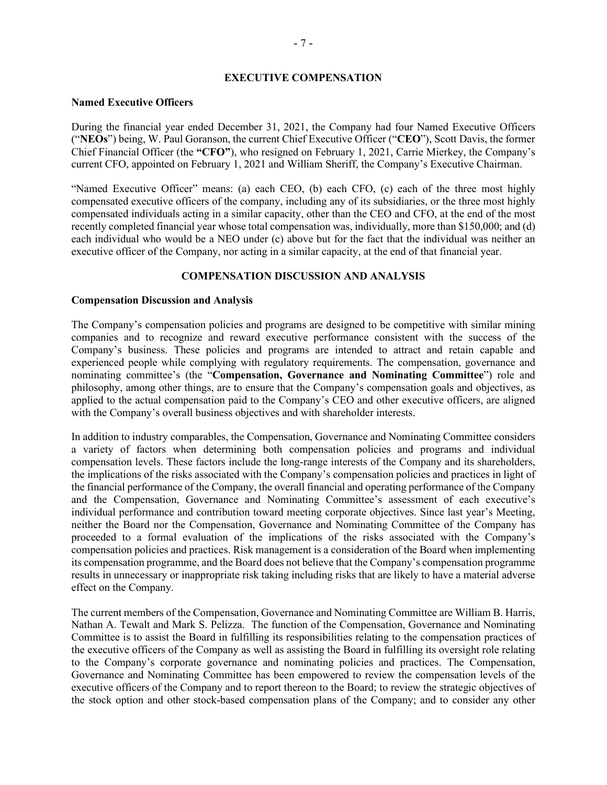#### **EXECUTIVE COMPENSATION**

#### **Named Executive Officers**

During the financial year ended December 31, 2021, the Company had four Named Executive Officers ("**NEOs**") being, W. Paul Goranson, the current Chief Executive Officer ("**CEO**"), Scott Davis, the former Chief Financial Officer (the **"CFO"**), who resigned on February 1, 2021, Carrie Mierkey, the Company's current CFO, appointed on February 1, 2021 and William Sheriff, the Company's Executive Chairman.

"Named Executive Officer" means: (a) each CEO, (b) each CFO, (c) each of the three most highly compensated executive officers of the company, including any of its subsidiaries, or the three most highly compensated individuals acting in a similar capacity, other than the CEO and CFO, at the end of the most recently completed financial year whose total compensation was, individually, more than \$150,000; and (d) each individual who would be a NEO under (c) above but for the fact that the individual was neither an executive officer of the Company, nor acting in a similar capacity, at the end of that financial year.

### **COMPENSATION DISCUSSION AND ANALYSIS**

#### **Compensation Discussion and Analysis**

The Company's compensation policies and programs are designed to be competitive with similar mining companies and to recognize and reward executive performance consistent with the success of the Company's business. These policies and programs are intended to attract and retain capable and experienced people while complying with regulatory requirements. The compensation, governance and nominating committee's (the "**Compensation, Governance and Nominating Committee**") role and philosophy, among other things, are to ensure that the Company's compensation goals and objectives, as applied to the actual compensation paid to the Company's CEO and other executive officers, are aligned with the Company's overall business objectives and with shareholder interests.

In addition to industry comparables, the Compensation, Governance and Nominating Committee considers a variety of factors when determining both compensation policies and programs and individual compensation levels. These factors include the long-range interests of the Company and its shareholders, the implications of the risks associated with the Company's compensation policies and practices in light of the financial performance of the Company, the overall financial and operating performance of the Company and the Compensation, Governance and Nominating Committee's assessment of each executive's individual performance and contribution toward meeting corporate objectives. Since last year's Meeting, neither the Board nor the Compensation, Governance and Nominating Committee of the Company has proceeded to a formal evaluation of the implications of the risks associated with the Company's compensation policies and practices. Risk management is a consideration of the Board when implementing its compensation programme, and the Board does not believe that the Company's compensation programme results in unnecessary or inappropriate risk taking including risks that are likely to have a material adverse effect on the Company.

The current members of the Compensation, Governance and Nominating Committee are William B. Harris, Nathan A. Tewalt and Mark S. Pelizza. The function of the Compensation, Governance and Nominating Committee is to assist the Board in fulfilling its responsibilities relating to the compensation practices of the executive officers of the Company as well as assisting the Board in fulfilling its oversight role relating to the Company's corporate governance and nominating policies and practices. The Compensation, Governance and Nominating Committee has been empowered to review the compensation levels of the executive officers of the Company and to report thereon to the Board; to review the strategic objectives of the stock option and other stock-based compensation plans of the Company; and to consider any other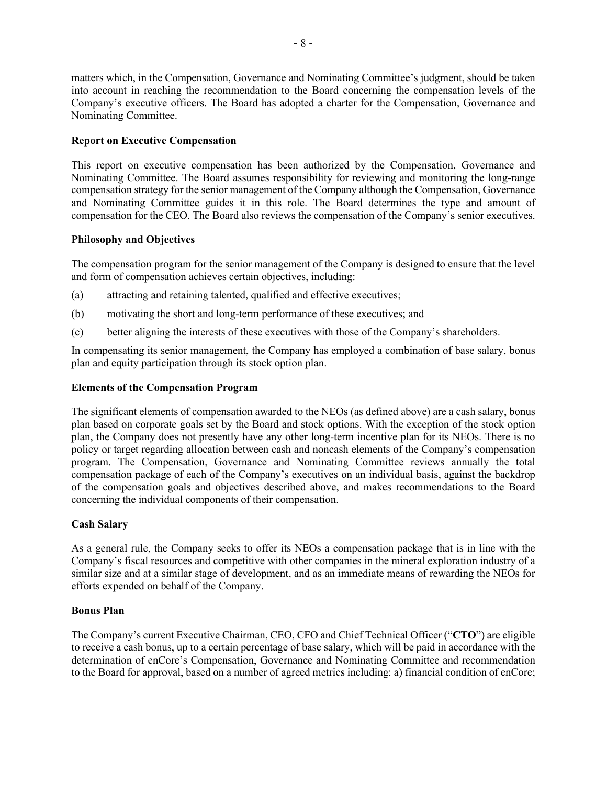matters which, in the Compensation, Governance and Nominating Committee's judgment, should be taken into account in reaching the recommendation to the Board concerning the compensation levels of the Company's executive officers. The Board has adopted a charter for the Compensation, Governance and Nominating Committee.

### **Report on Executive Compensation**

This report on executive compensation has been authorized by the Compensation, Governance and Nominating Committee. The Board assumes responsibility for reviewing and monitoring the long-range compensation strategy for the senior management of the Company although the Compensation, Governance and Nominating Committee guides it in this role. The Board determines the type and amount of compensation for the CEO. The Board also reviews the compensation of the Company's senior executives.

### **Philosophy and Objectives**

The compensation program for the senior management of the Company is designed to ensure that the level and form of compensation achieves certain objectives, including:

- (a) attracting and retaining talented, qualified and effective executives;
- (b) motivating the short and long-term performance of these executives; and
- (c) better aligning the interests of these executives with those of the Company's shareholders.

In compensating its senior management, the Company has employed a combination of base salary, bonus plan and equity participation through its stock option plan.

### **Elements of the Compensation Program**

The significant elements of compensation awarded to the NEOs (as defined above) are a cash salary, bonus plan based on corporate goals set by the Board and stock options. With the exception of the stock option plan, the Company does not presently have any other long-term incentive plan for its NEOs. There is no policy or target regarding allocation between cash and noncash elements of the Company's compensation program. The Compensation, Governance and Nominating Committee reviews annually the total compensation package of each of the Company's executives on an individual basis, against the backdrop of the compensation goals and objectives described above, and makes recommendations to the Board concerning the individual components of their compensation.

### **Cash Salary**

As a general rule, the Company seeks to offer its NEOs a compensation package that is in line with the Company's fiscal resources and competitive with other companies in the mineral exploration industry of a similar size and at a similar stage of development, and as an immediate means of rewarding the NEOs for efforts expended on behalf of the Company.

### **Bonus Plan**

The Company's current Executive Chairman, CEO, CFO and Chief Technical Officer ("**CTO**") are eligible to receive a cash bonus, up to a certain percentage of base salary, which will be paid in accordance with the determination of enCore's Compensation, Governance and Nominating Committee and recommendation to the Board for approval, based on a number of agreed metrics including: a) financial condition of enCore;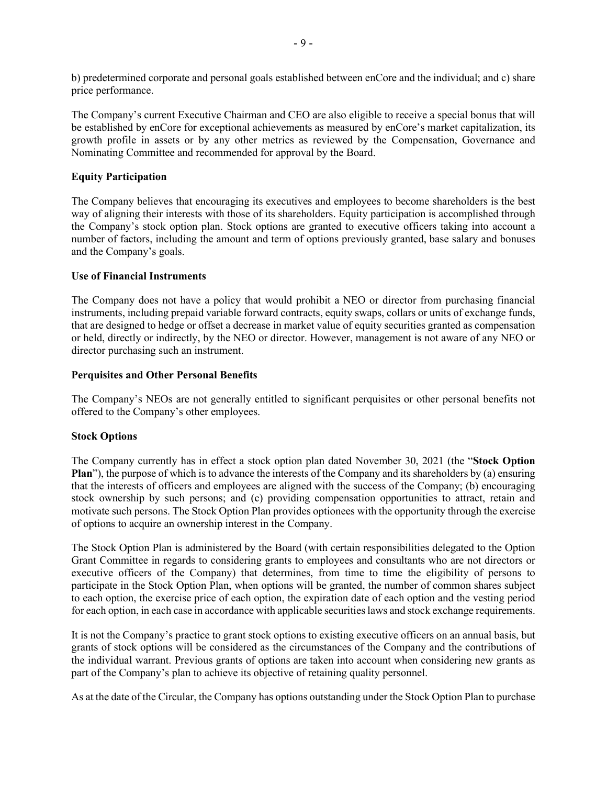b) predetermined corporate and personal goals established between enCore and the individual; and c) share price performance.

The Company's current Executive Chairman and CEO are also eligible to receive a special bonus that will be established by enCore for exceptional achievements as measured by enCore's market capitalization, its growth profile in assets or by any other metrics as reviewed by the Compensation, Governance and Nominating Committee and recommended for approval by the Board.

## **Equity Participation**

The Company believes that encouraging its executives and employees to become shareholders is the best way of aligning their interests with those of its shareholders. Equity participation is accomplished through the Company's stock option plan. Stock options are granted to executive officers taking into account a number of factors, including the amount and term of options previously granted, base salary and bonuses and the Company's goals.

### **Use of Financial Instruments**

The Company does not have a policy that would prohibit a NEO or director from purchasing financial instruments, including prepaid variable forward contracts, equity swaps, collars or units of exchange funds, that are designed to hedge or offset a decrease in market value of equity securities granted as compensation or held, directly or indirectly, by the NEO or director. However, management is not aware of any NEO or director purchasing such an instrument.

### **Perquisites and Other Personal Benefits**

The Company's NEOs are not generally entitled to significant perquisites or other personal benefits not offered to the Company's other employees.

# **Stock Options**

The Company currently has in effect a stock option plan dated November 30, 2021 (the "**Stock Option Plan**"), the purpose of which is to advance the interests of the Company and its shareholders by (a) ensuring that the interests of officers and employees are aligned with the success of the Company; (b) encouraging stock ownership by such persons; and (c) providing compensation opportunities to attract, retain and motivate such persons. The Stock Option Plan provides optionees with the opportunity through the exercise of options to acquire an ownership interest in the Company.

The Stock Option Plan is administered by the Board (with certain responsibilities delegated to the Option Grant Committee in regards to considering grants to employees and consultants who are not directors or executive officers of the Company) that determines, from time to time the eligibility of persons to participate in the Stock Option Plan, when options will be granted, the number of common shares subject to each option, the exercise price of each option, the expiration date of each option and the vesting period for each option, in each case in accordance with applicable securities laws and stock exchange requirements.

It is not the Company's practice to grant stock options to existing executive officers on an annual basis, but grants of stock options will be considered as the circumstances of the Company and the contributions of the individual warrant. Previous grants of options are taken into account when considering new grants as part of the Company's plan to achieve its objective of retaining quality personnel.

As at the date of the Circular, the Company has options outstanding under the Stock Option Plan to purchase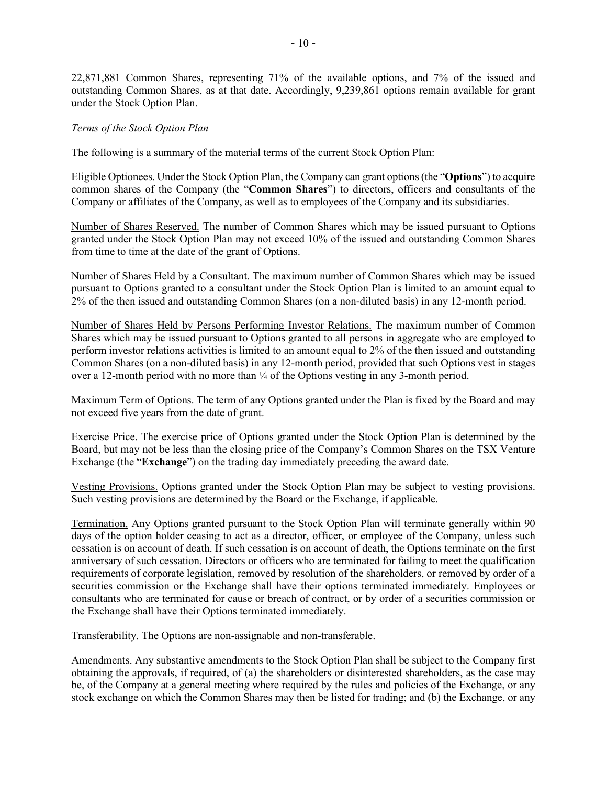22,871,881 Common Shares, representing 71% of the available options, and 7% of the issued and outstanding Common Shares, as at that date. Accordingly, 9,239,861 options remain available for grant under the Stock Option Plan.

### *Terms of the Stock Option Plan*

The following is a summary of the material terms of the current Stock Option Plan:

Eligible Optionees. Under the Stock Option Plan, the Company can grant options(the "**Options**") to acquire common shares of the Company (the "**Common Shares**") to directors, officers and consultants of the Company or affiliates of the Company, as well as to employees of the Company and its subsidiaries.

Number of Shares Reserved. The number of Common Shares which may be issued pursuant to Options granted under the Stock Option Plan may not exceed 10% of the issued and outstanding Common Shares from time to time at the date of the grant of Options.

Number of Shares Held by a Consultant. The maximum number of Common Shares which may be issued pursuant to Options granted to a consultant under the Stock Option Plan is limited to an amount equal to 2% of the then issued and outstanding Common Shares (on a non-diluted basis) in any 12-month period.

Number of Shares Held by Persons Performing Investor Relations. The maximum number of Common Shares which may be issued pursuant to Options granted to all persons in aggregate who are employed to perform investor relations activities is limited to an amount equal to 2% of the then issued and outstanding Common Shares (on a non-diluted basis) in any 12-month period, provided that such Options vest in stages over a 12-month period with no more than  $\frac{1}{4}$  of the Options vesting in any 3-month period.

Maximum Term of Options. The term of any Options granted under the Plan is fixed by the Board and may not exceed five years from the date of grant.

Exercise Price. The exercise price of Options granted under the Stock Option Plan is determined by the Board, but may not be less than the closing price of the Company's Common Shares on the TSX Venture Exchange (the "**Exchange**") on the trading day immediately preceding the award date.

Vesting Provisions. Options granted under the Stock Option Plan may be subject to vesting provisions. Such vesting provisions are determined by the Board or the Exchange, if applicable.

Termination. Any Options granted pursuant to the Stock Option Plan will terminate generally within 90 days of the option holder ceasing to act as a director, officer, or employee of the Company, unless such cessation is on account of death. If such cessation is on account of death, the Options terminate on the first anniversary of such cessation. Directors or officers who are terminated for failing to meet the qualification requirements of corporate legislation, removed by resolution of the shareholders, or removed by order of a securities commission or the Exchange shall have their options terminated immediately. Employees or consultants who are terminated for cause or breach of contract, or by order of a securities commission or the Exchange shall have their Options terminated immediately.

Transferability. The Options are non-assignable and non-transferable.

Amendments. Any substantive amendments to the Stock Option Plan shall be subject to the Company first obtaining the approvals, if required, of (a) the shareholders or disinterested shareholders, as the case may be, of the Company at a general meeting where required by the rules and policies of the Exchange, or any stock exchange on which the Common Shares may then be listed for trading; and (b) the Exchange, or any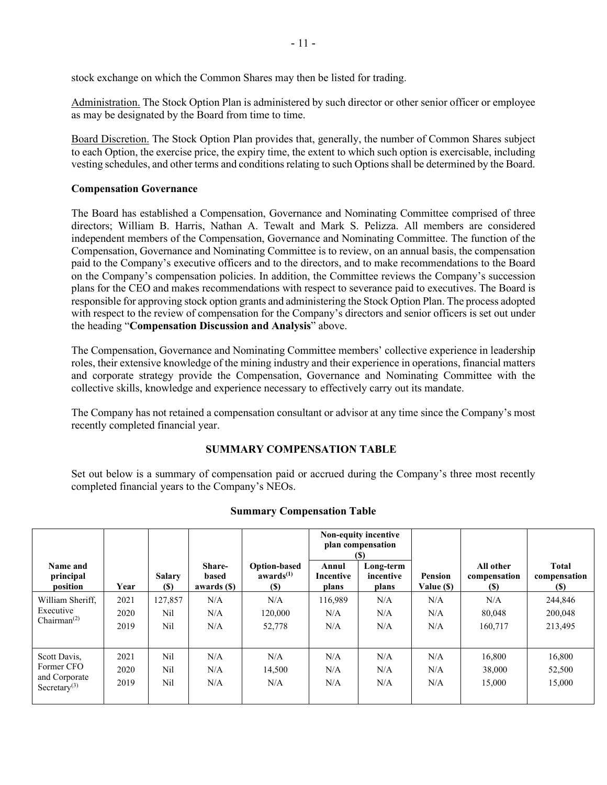stock exchange on which the Common Shares may then be listed for trading.

Administration. The Stock Option Plan is administered by such director or other senior officer or employee as may be designated by the Board from time to time.

Board Discretion. The Stock Option Plan provides that, generally, the number of Common Shares subject to each Option, the exercise price, the expiry time, the extent to which such option is exercisable, including vesting schedules, and other terms and conditions relating to such Options shall be determined by the Board.

### **Compensation Governance**

The Board has established a Compensation, Governance and Nominating Committee comprised of three directors; William B. Harris, Nathan A. Tewalt and Mark S. Pelizza. All members are considered independent members of the Compensation, Governance and Nominating Committee. The function of the Compensation, Governance and Nominating Committee is to review, on an annual basis, the compensation paid to the Company's executive officers and to the directors, and to make recommendations to the Board on the Company's compensation policies. In addition, the Committee reviews the Company's succession plans for the CEO and makes recommendations with respect to severance paid to executives. The Board is responsible for approving stock option grants and administering the Stock Option Plan. The process adopted with respect to the review of compensation for the Company's directors and senior officers is set out under the heading "**Compensation Discussion and Analysis**" above.

The Compensation, Governance and Nominating Committee members' collective experience in leadership roles, their extensive knowledge of the mining industry and their experience in operations, financial matters and corporate strategy provide the Compensation, Governance and Nominating Committee with the collective skills, knowledge and experience necessary to effectively carry out its mandate.

The Company has not retained a compensation consultant or advisor at any time since the Company's most recently completed financial year.

### **SUMMARY COMPENSATION TABLE**

Set out below is a summary of compensation paid or accrued during the Company's three most recently completed financial years to the Company's NEOs.

|                                                                         |                      |                       |                                |                                                            | Non-equity incentive<br>plan compensation<br>(S) |                                 |                              |                                         |                                     |
|-------------------------------------------------------------------------|----------------------|-----------------------|--------------------------------|------------------------------------------------------------|--------------------------------------------------|---------------------------------|------------------------------|-----------------------------------------|-------------------------------------|
| Name and<br>principal<br>position                                       | Year                 | <b>Salary</b><br>(S)  | Share-<br>based<br>awards (\$) | <b>Option-based</b><br>awards <sup>(1)</sup><br><b>(S)</b> | Annul<br>Incentive<br>plans                      | Long-term<br>incentive<br>plans | <b>Pension</b><br>Value (\$) | All other<br>compensation<br><b>(S)</b> | <b>Total</b><br>compensation<br>(S) |
| William Sheriff,<br>Executive<br>Chairman <sup><math>(2)</math></sup>   | 2021<br>2020<br>2019 | 127,857<br>Nil<br>Nil | N/A<br>N/A<br>N/A              | N/A<br>120,000<br>52,778                                   | 116.989<br>N/A<br>N/A                            | N/A<br>N/A<br>N/A               | N/A<br>N/A<br>N/A            | N/A<br>80,048<br>160,717                | 244,846<br>200,048<br>213,495       |
| Scott Davis,<br>Former CFO<br>and Corporate<br>Secretary <sup>(3)</sup> | 2021<br>2020<br>2019 | Nil<br>Nil<br>Nil     | N/A<br>N/A<br>N/A              | N/A<br>14,500<br>N/A                                       | N/A<br>N/A<br>N/A                                | N/A<br>N/A<br>N/A               | N/A<br>N/A<br>N/A            | 16,800<br>38,000<br>15,000              | 16,800<br>52,500<br>15,000          |

#### **Summary Compensation Table**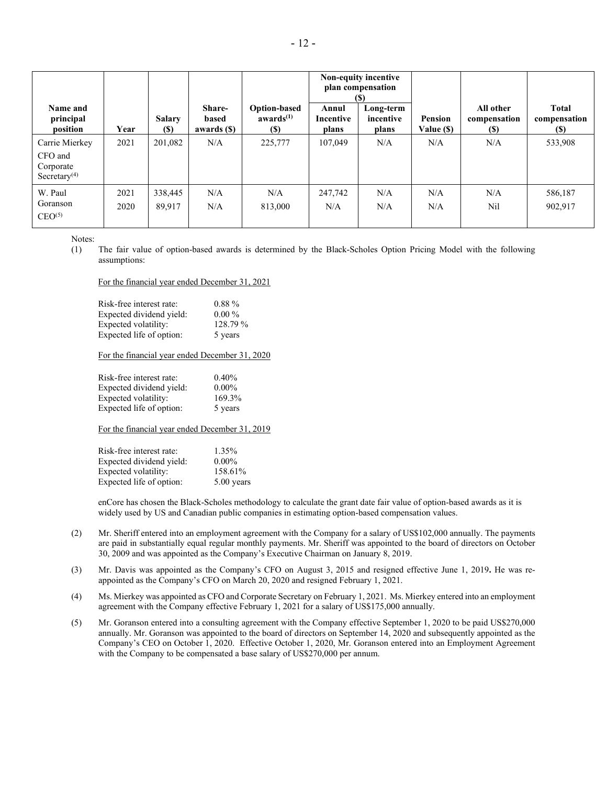|                                                                    |              |                              |                                |                                               | Non-equity incentive<br>plan compensation<br>(S) |                                 |                              |                                  |                                             |  |  |  |  |  |  |  |  |
|--------------------------------------------------------------------|--------------|------------------------------|--------------------------------|-----------------------------------------------|--------------------------------------------------|---------------------------------|------------------------------|----------------------------------|---------------------------------------------|--|--|--|--|--|--|--|--|
| Name and<br>principal<br>position                                  | Year         | <b>Salary</b><br><b>(\$)</b> | Share-<br>based<br>awards (\$) | <b>Option-based</b><br>awards $(1)$<br>$(\$)$ | Annul<br>Incentive<br>plans                      | Long-term<br>incentive<br>plans | <b>Pension</b><br>Value (\$) | All other<br>compensation<br>(S) | <b>Total</b><br>compensation<br><b>(\$)</b> |  |  |  |  |  |  |  |  |
| Carrie Mierkey<br>CFO and<br>Corporate<br>Secretary <sup>(4)</sup> | 2021         | 201.082                      | N/A                            | 225,777                                       | 107.049                                          | N/A                             | N/A                          | N/A                              | 533,908                                     |  |  |  |  |  |  |  |  |
| W. Paul<br>Goranson<br>CEO <sup>(5)</sup>                          | 2021<br>2020 | 338,445<br>89.917            | N/A<br>N/A                     | N/A<br>813,000                                | 247,742<br>N/A                                   | N/A<br>N/A                      | N/A<br>N/A                   | N/A<br>Nil                       | 586,187<br>902,917                          |  |  |  |  |  |  |  |  |

Notes:

(1) The fair value of option-based awards is determined by the Black-Scholes Option Pricing Model with the following assumptions:

For the financial year ended December 31, 2021

| Risk-free interest rate: | $0.88\%$ |
|--------------------------|----------|
| Expected dividend yield: | $0.00\%$ |
| Expected volatility:     | 128.79%  |
| Expected life of option: | 5 years  |

For the financial year ended December 31, 2020

| Risk-free interest rate: | 0.40%    |
|--------------------------|----------|
| Expected dividend yield: | $0.00\%$ |
| Expected volatility:     | 169.3%   |
| Expected life of option: | 5 years  |

For the financial year ended December 31, 2019

| Risk-free interest rate: | 1.35%      |
|--------------------------|------------|
| Expected dividend yield: | $0.00\%$   |
| Expected volatility:     | 158.61%    |
| Expected life of option: | 5.00 years |

enCore has chosen the Black-Scholes methodology to calculate the grant date fair value of option-based awards as it is widely used by US and Canadian public companies in estimating option-based compensation values.

- (2) Mr. Sheriff entered into an employment agreement with the Company for a salary of US\$102,000 annually. The payments are paid in substantially equal regular monthly payments. Mr. Sheriff was appointed to the board of directors on October 30, 2009 and was appointed as the Company's Executive Chairman on January 8, 2019.
- (3) Mr. Davis was appointed as the Company's CFO on August 3, 2015 and resigned effective June 1, 2019**.** He was reappointed as the Company's CFO on March 20, 2020 and resigned February 1, 2021.
- (4) Ms. Mierkey was appointed as CFO and Corporate Secretary on February 1, 2021. Ms. Mierkey entered into an employment agreement with the Company effective February 1, 2021 for a salary of US\$175,000 annually.
- (5) Mr. Goranson entered into a consulting agreement with the Company effective September 1, 2020 to be paid US\$270,000 annually. Mr. Goranson was appointed to the board of directors on September 14, 2020 and subsequently appointed as the Company's CEO on October 1, 2020. Effective October 1, 2020, Mr. Goranson entered into an Employment Agreement with the Company to be compensated a base salary of US\$270,000 per annum.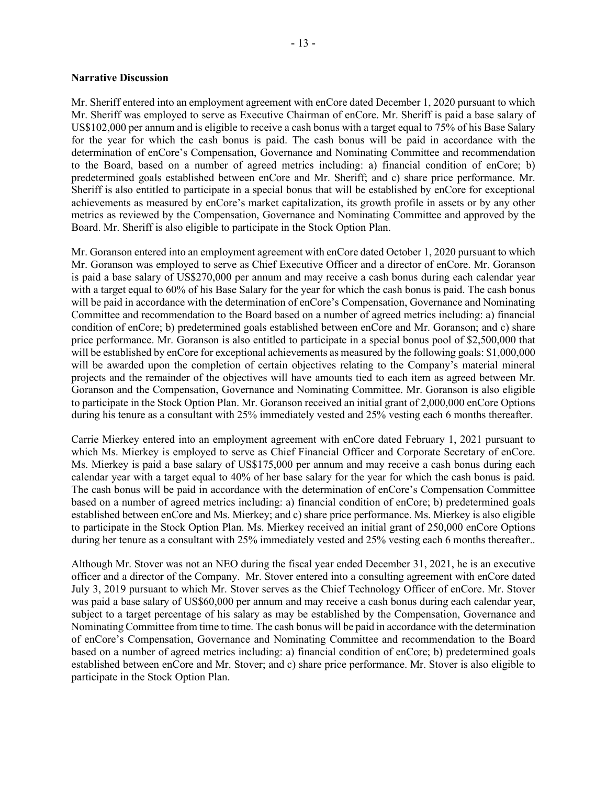#### **Narrative Discussion**

Mr. Sheriff entered into an employment agreement with enCore dated December 1, 2020 pursuant to which Mr. Sheriff was employed to serve as Executive Chairman of enCore. Mr. Sheriff is paid a base salary of US\$102,000 per annum and is eligible to receive a cash bonus with a target equal to 75% of his Base Salary for the year for which the cash bonus is paid. The cash bonus will be paid in accordance with the determination of enCore's Compensation, Governance and Nominating Committee and recommendation to the Board, based on a number of agreed metrics including: a) financial condition of enCore; b) predetermined goals established between enCore and Mr. Sheriff; and c) share price performance. Mr. Sheriff is also entitled to participate in a special bonus that will be established by enCore for exceptional achievements as measured by enCore's market capitalization, its growth profile in assets or by any other metrics as reviewed by the Compensation, Governance and Nominating Committee and approved by the Board. Mr. Sheriff is also eligible to participate in the Stock Option Plan.

Mr. Goranson entered into an employment agreement with enCore dated October 1, 2020 pursuant to which Mr. Goranson was employed to serve as Chief Executive Officer and a director of enCore. Mr. Goranson is paid a base salary of US\$270,000 per annum and may receive a cash bonus during each calendar year with a target equal to 60% of his Base Salary for the year for which the cash bonus is paid. The cash bonus will be paid in accordance with the determination of enCore's Compensation, Governance and Nominating Committee and recommendation to the Board based on a number of agreed metrics including: a) financial condition of enCore; b) predetermined goals established between enCore and Mr. Goranson; and c) share price performance. Mr. Goranson is also entitled to participate in a special bonus pool of \$2,500,000 that will be established by enCore for exceptional achievements as measured by the following goals: \$1,000,000 will be awarded upon the completion of certain objectives relating to the Company's material mineral projects and the remainder of the objectives will have amounts tied to each item as agreed between Mr. Goranson and the Compensation, Governance and Nominating Committee. Mr. Goranson is also eligible to participate in the Stock Option Plan. Mr. Goranson received an initial grant of 2,000,000 enCore Options during his tenure as a consultant with 25% immediately vested and 25% vesting each 6 months thereafter.

Carrie Mierkey entered into an employment agreement with enCore dated February 1, 2021 pursuant to which Ms. Mierkey is employed to serve as Chief Financial Officer and Corporate Secretary of enCore. Ms. Mierkey is paid a base salary of US\$175,000 per annum and may receive a cash bonus during each calendar year with a target equal to 40% of her base salary for the year for which the cash bonus is paid. The cash bonus will be paid in accordance with the determination of enCore's Compensation Committee based on a number of agreed metrics including: a) financial condition of enCore; b) predetermined goals established between enCore and Ms. Mierkey; and c) share price performance. Ms. Mierkey is also eligible to participate in the Stock Option Plan. Ms. Mierkey received an initial grant of 250,000 enCore Options during her tenure as a consultant with 25% immediately vested and 25% vesting each 6 months thereafter..

Although Mr. Stover was not an NEO during the fiscal year ended December 31, 2021, he is an executive officer and a director of the Company. Mr. Stover entered into a consulting agreement with enCore dated July 3, 2019 pursuant to which Mr. Stover serves as the Chief Technology Officer of enCore. Mr. Stover was paid a base salary of US\$60,000 per annum and may receive a cash bonus during each calendar year, subject to a target percentage of his salary as may be established by the Compensation, Governance and Nominating Committee from time to time. The cash bonus will be paid in accordance with the determination of enCore's Compensation, Governance and Nominating Committee and recommendation to the Board based on a number of agreed metrics including: a) financial condition of enCore; b) predetermined goals established between enCore and Mr. Stover; and c) share price performance. Mr. Stover is also eligible to participate in the Stock Option Plan.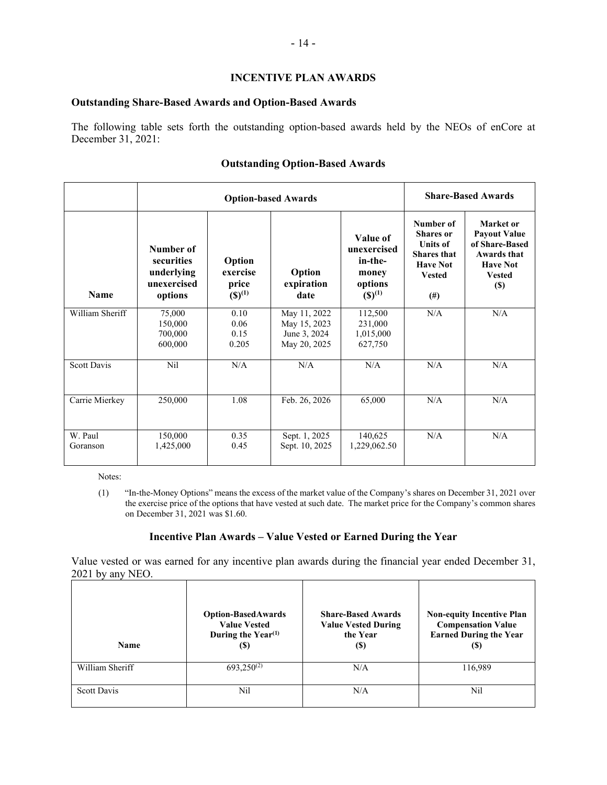### **INCENTIVE PLAN AWARDS**

#### **Outstanding Share-Based Awards and Option-Based Awards**

The following table sets forth the outstanding option-based awards held by the NEOs of enCore at December 31, 2021:

## **Outstanding Option-Based Awards**

|                     |                                                                 | <b>Option-based Awards</b>                            | <b>Share-Based Awards</b>                                    |                                                                             |                                                                                                                        |                                                                                                                      |
|---------------------|-----------------------------------------------------------------|-------------------------------------------------------|--------------------------------------------------------------|-----------------------------------------------------------------------------|------------------------------------------------------------------------------------------------------------------------|----------------------------------------------------------------------------------------------------------------------|
| <b>Name</b>         | Number of<br>securities<br>underlying<br>unexercised<br>options | Option<br>exercise<br>price<br>$({\mathbb{S}})^{(1)}$ | Option<br>expiration<br>date                                 | Value of<br>unexercised<br>in-the-<br>money<br>options<br>$({\bf S})^{(1)}$ | Number of<br><b>Shares</b> or<br><b>Units of</b><br><b>Shares</b> that<br><b>Have Not</b><br><b>Vested</b><br>$^{(#)}$ | Market or<br><b>Payout Value</b><br>of Share-Based<br>Awards that<br><b>Have Not</b><br><b>Vested</b><br><b>(\$)</b> |
| William Sheriff     | 75,000<br>150,000<br>700,000<br>600,000                         | 0.10<br>0.06<br>0.15<br>0.205                         | May 11, 2022<br>May 15, 2023<br>June 3, 2024<br>May 20, 2025 | 112,500<br>231,000<br>1,015,000<br>627,750                                  | N/A                                                                                                                    | N/A                                                                                                                  |
| <b>Scott Davis</b>  | Nil                                                             | N/A                                                   | N/A                                                          | N/A                                                                         | N/A                                                                                                                    | N/A                                                                                                                  |
| Carrie Mierkey      | 250,000                                                         | 1.08                                                  | Feb. 26, 2026                                                | 65,000                                                                      | N/A                                                                                                                    | N/A                                                                                                                  |
| W. Paul<br>Goranson | 150,000<br>1,425,000                                            | 0.35<br>0.45                                          | Sept. 1, 2025<br>Sept. 10, 2025                              | 140,625<br>1,229,062.50                                                     | N/A                                                                                                                    | N/A                                                                                                                  |

Notes:

(1) "In-the-Money Options" means the excess of the market value of the Company's shares on December 31, 2021 over the exercise price of the options that have vested at such date. The market price for the Company's common shares on December 31, 2021 was \$1.60.

### **Incentive Plan Awards – Value Vested or Earned During the Year**

Value vested or was earned for any incentive plan awards during the financial year ended December 31, 2021 by any NEO.

| Name            | <b>Option-BasedAwards</b><br><b>Value Vested</b><br>During the Year <sup>(1)</sup><br>(\$) | <b>Share-Based Awards</b><br><b>Value Vested During</b><br>the Year<br>(S) | <b>Non-equity Incentive Plan</b><br><b>Compensation Value</b><br><b>Earned During the Year</b><br>(S) |
|-----------------|--------------------------------------------------------------------------------------------|----------------------------------------------------------------------------|-------------------------------------------------------------------------------------------------------|
| William Sheriff | $693,250^{(2)}$                                                                            | N/A                                                                        | 116,989                                                                                               |
| Scott Davis     | Nil                                                                                        | N/A                                                                        | Nil                                                                                                   |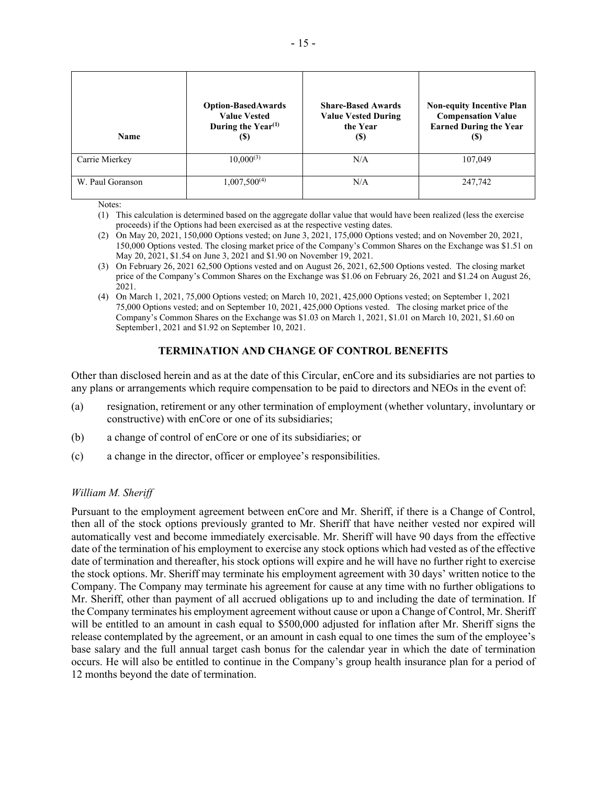| Name             | <b>Option-BasedAwards</b><br><b>Value Vested</b><br>During the Year <sup>(1)</sup><br>(\$) | <b>Share-Based Awards</b><br><b>Value Vested During</b><br>the Year<br><b>(S)</b> | <b>Non-equity Incentive Plan</b><br><b>Compensation Value</b><br><b>Earned During the Year</b><br>$\left( \mathbf{S}\right)$ |
|------------------|--------------------------------------------------------------------------------------------|-----------------------------------------------------------------------------------|------------------------------------------------------------------------------------------------------------------------------|
| Carrie Mierkey   | $10,000^{(3)}$                                                                             | N/A                                                                               | 107,049                                                                                                                      |
| W. Paul Goranson | $1,007,500^{(4)}$                                                                          | N/A                                                                               | 247,742                                                                                                                      |

Notes:

- (1) This calculation is determined based on the aggregate dollar value that would have been realized (less the exercise proceeds) if the Options had been exercised as at the respective vesting dates.
- (2) On May 20, 2021, 150,000 Options vested; on June 3, 2021, 175,000 Options vested; and on November 20, 2021, 150,000 Options vested. The closing market price of the Company's Common Shares on the Exchange was \$1.51 on May 20, 2021, \$1.54 on June 3, 2021 and \$1.90 on November 19, 2021.
- (3) On February 26, 2021 62,500 Options vested and on August 26, 2021, 62,500 Options vested. The closing market price of the Company's Common Shares on the Exchange was \$1.06 on February 26, 2021 and \$1.24 on August 26, 2021.
- (4) On March 1, 2021, 75,000 Options vested; on March 10, 2021, 425,000 Options vested; on September 1, 2021 75,000 Options vested; and on September 10, 2021, 425,000 Options vested. The closing market price of the Company's Common Shares on the Exchange was \$1.03 on March 1, 2021, \$1.01 on March 10, 2021, \$1.60 on September1, 2021 and \$1.92 on September 10, 2021.

# **TERMINATION AND CHANGE OF CONTROL BENEFITS**

Other than disclosed herein and as at the date of this Circular, enCore and its subsidiaries are not parties to any plans or arrangements which require compensation to be paid to directors and NEOs in the event of:

- (a) resignation, retirement or any other termination of employment (whether voluntary, involuntary or constructive) with enCore or one of its subsidiaries;
- (b) a change of control of enCore or one of its subsidiaries; or
- (c) a change in the director, officer or employee's responsibilities.

### *William M. Sheriff*

Pursuant to the employment agreement between enCore and Mr. Sheriff, if there is a Change of Control, then all of the stock options previously granted to Mr. Sheriff that have neither vested nor expired will automatically vest and become immediately exercisable. Mr. Sheriff will have 90 days from the effective date of the termination of his employment to exercise any stock options which had vested as of the effective date of termination and thereafter, his stock options will expire and he will have no further right to exercise the stock options. Mr. Sheriff may terminate his employment agreement with 30 days' written notice to the Company. The Company may terminate his agreement for cause at any time with no further obligations to Mr. Sheriff, other than payment of all accrued obligations up to and including the date of termination. If the Company terminates his employment agreement without cause or upon a Change of Control, Mr. Sheriff will be entitled to an amount in cash equal to \$500,000 adjusted for inflation after Mr. Sheriff signs the release contemplated by the agreement, or an amount in cash equal to one times the sum of the employee's base salary and the full annual target cash bonus for the calendar year in which the date of termination occurs. He will also be entitled to continue in the Company's group health insurance plan for a period of 12 months beyond the date of termination.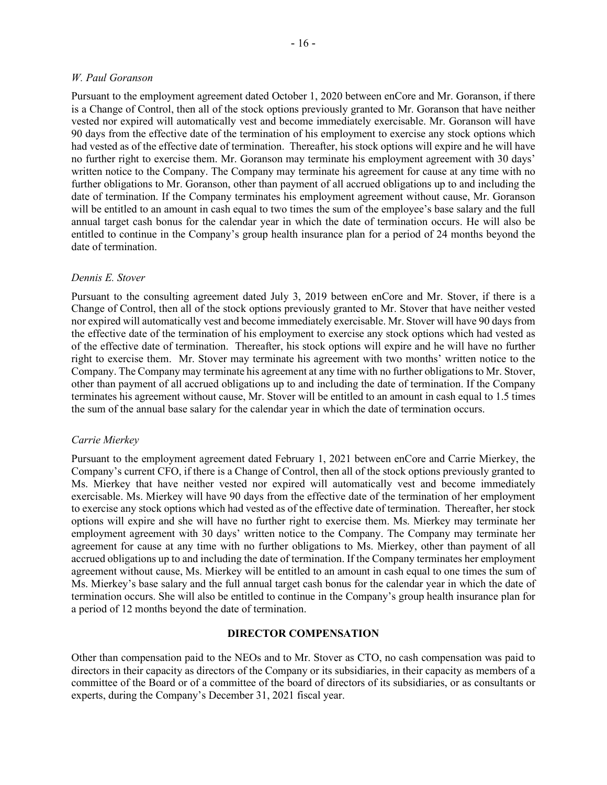#### *W. Paul Goranson*

Pursuant to the employment agreement dated October 1, 2020 between enCore and Mr. Goranson, if there is a Change of Control, then all of the stock options previously granted to Mr. Goranson that have neither vested nor expired will automatically vest and become immediately exercisable. Mr. Goranson will have 90 days from the effective date of the termination of his employment to exercise any stock options which had vested as of the effective date of termination. Thereafter, his stock options will expire and he will have no further right to exercise them. Mr. Goranson may terminate his employment agreement with 30 days' written notice to the Company. The Company may terminate his agreement for cause at any time with no further obligations to Mr. Goranson, other than payment of all accrued obligations up to and including the date of termination. If the Company terminates his employment agreement without cause, Mr. Goranson will be entitled to an amount in cash equal to two times the sum of the employee's base salary and the full annual target cash bonus for the calendar year in which the date of termination occurs. He will also be entitled to continue in the Company's group health insurance plan for a period of 24 months beyond the date of termination.

### *Dennis E. Stover*

Pursuant to the consulting agreement dated July 3, 2019 between enCore and Mr. Stover, if there is a Change of Control, then all of the stock options previously granted to Mr. Stover that have neither vested nor expired will automatically vest and become immediately exercisable. Mr. Stover will have 90 days from the effective date of the termination of his employment to exercise any stock options which had vested as of the effective date of termination. Thereafter, his stock options will expire and he will have no further right to exercise them. Mr. Stover may terminate his agreement with two months' written notice to the Company. The Company may terminate his agreement at any time with no further obligations to Mr. Stover, other than payment of all accrued obligations up to and including the date of termination. If the Company terminates his agreement without cause, Mr. Stover will be entitled to an amount in cash equal to 1.5 times the sum of the annual base salary for the calendar year in which the date of termination occurs.

#### *Carrie Mierkey*

Pursuant to the employment agreement dated February 1, 2021 between enCore and Carrie Mierkey, the Company's current CFO, if there is a Change of Control, then all of the stock options previously granted to Ms. Mierkey that have neither vested nor expired will automatically vest and become immediately exercisable. Ms. Mierkey will have 90 days from the effective date of the termination of her employment to exercise any stock options which had vested as of the effective date of termination. Thereafter, her stock options will expire and she will have no further right to exercise them. Ms. Mierkey may terminate her employment agreement with 30 days' written notice to the Company. The Company may terminate her agreement for cause at any time with no further obligations to Ms. Mierkey, other than payment of all accrued obligations up to and including the date of termination. If the Company terminates her employment agreement without cause, Ms. Mierkey will be entitled to an amount in cash equal to one times the sum of Ms. Mierkey's base salary and the full annual target cash bonus for the calendar year in which the date of termination occurs. She will also be entitled to continue in the Company's group health insurance plan for a period of 12 months beyond the date of termination.

#### **DIRECTOR COMPENSATION**

Other than compensation paid to the NEOs and to Mr. Stover as CTO, no cash compensation was paid to directors in their capacity as directors of the Company or its subsidiaries, in their capacity as members of a committee of the Board or of a committee of the board of directors of its subsidiaries, or as consultants or experts, during the Company's December 31, 2021 fiscal year.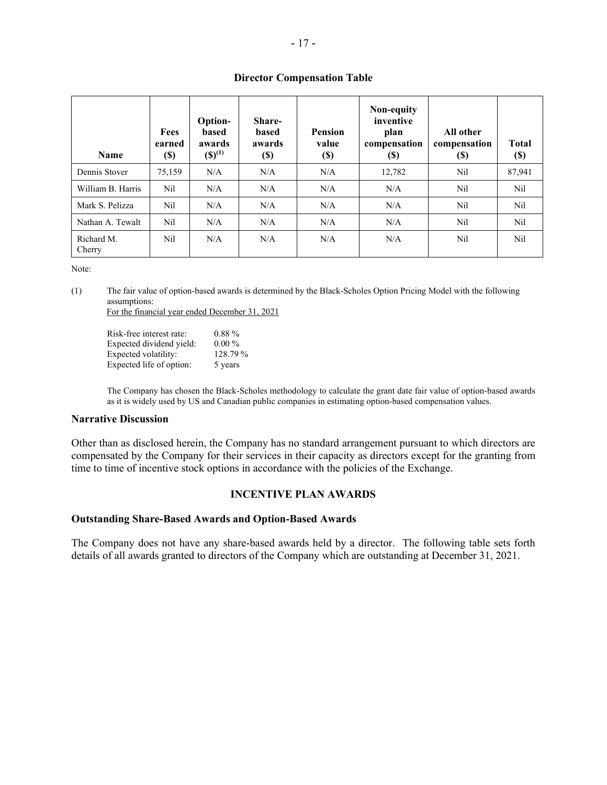### **Director Compensation Table**

| <b>Name</b>          | Fees<br>earned<br><b>(\$)</b> | <b>Option-</b><br><b>based</b><br>awards<br>$({\bf S})^{(1)}$ | Share-<br><b>based</b><br>awards<br>(\$) | <b>Pension</b><br>value<br><b>(\$)</b> | Non-equity<br>inventive<br>plan<br>compensation<br>$\left( \mathbb{S}\right)$ | All other<br>compensation<br><b>(S)</b> | <b>Total</b><br>$\left( \mathbf{S}\right)$ |
|----------------------|-------------------------------|---------------------------------------------------------------|------------------------------------------|----------------------------------------|-------------------------------------------------------------------------------|-----------------------------------------|--------------------------------------------|
| Dennis Stover        | 75,159                        | N/A                                                           | N/A                                      | N/A                                    | 12,782                                                                        | Nil                                     | 87,941                                     |
| William B. Harris    | Nil                           | N/A                                                           | N/A                                      | N/A                                    | N/A                                                                           | Nil                                     | Nil                                        |
| Mark S. Pelizza      | Nil                           | N/A                                                           | N/A                                      | N/A                                    | N/A                                                                           | Nil                                     | Nil                                        |
| Nathan A. Tewalt     | Nil                           | N/A                                                           | N/A                                      | N/A                                    | N/A                                                                           | Nil                                     | Nil                                        |
| Richard M.<br>Cherry | Nil                           | N/A                                                           | N/A                                      | N/A                                    | N/A                                                                           | Nil                                     | Nil                                        |

Note:

(1) The fair value of option-based awards is determined by the Black-Scholes Option Pricing Model with the following assumptions:

For the financial year ended December 31, 2021

| Risk-free interest rate: | $0.88\%$ |
|--------------------------|----------|
| Expected dividend yield: | $0.00\%$ |
| Expected volatility:     | 128.79 % |
| Expected life of option: | 5 years  |

The Company has chosen the Black-Scholes methodology to calculate the grant date fair value of option-based awards as it is widely used by US and Canadian public companies in estimating option-based compensation values.

#### **Narrative Discussion**

Other than as disclosed herein, the Company has no standard arrangement pursuant to which directors are compensated by the Company for their services in their capacity as directors except for the granting from time to time of incentive stock options in accordance with the policies of the Exchange.

#### **INCENTIVE PLAN AWARDS**

### **Outstanding Share-Based Awards and Option-Based Awards**

The Company does not have any share-based awards held by a director. The following table sets forth details of all awards granted to directors of the Company which are outstanding at December 31, 2021.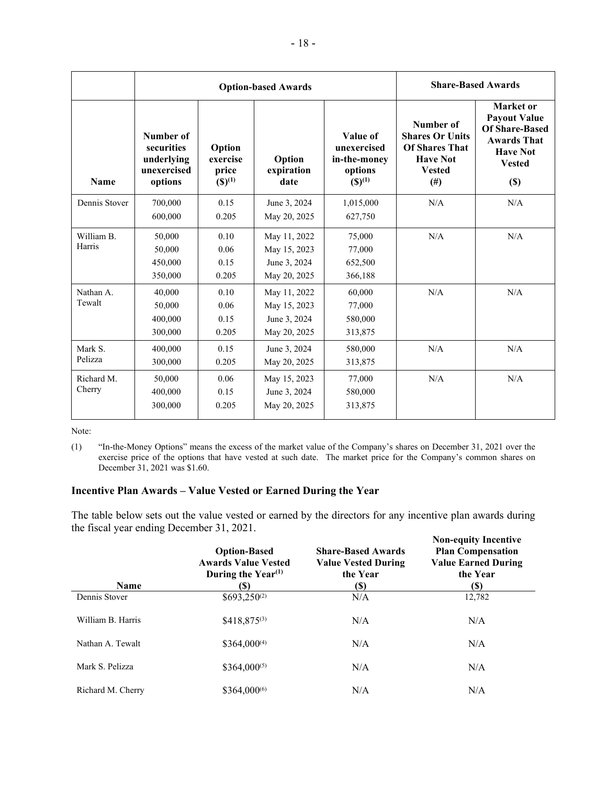|                      |                                                                 | <b>Option-based Awards</b>                            | <b>Share-Based Awards</b>                                    |                                                                         |                                                                                                         |                                                                                                                               |
|----------------------|-----------------------------------------------------------------|-------------------------------------------------------|--------------------------------------------------------------|-------------------------------------------------------------------------|---------------------------------------------------------------------------------------------------------|-------------------------------------------------------------------------------------------------------------------------------|
| <b>Name</b>          | Number of<br>securities<br>underlying<br>unexercised<br>options | Option<br>exercise<br>price<br>$({\mathbb{S}})^{(1)}$ | Option<br>expiration<br>date                                 | Value of<br>unexercised<br>in-the-money<br>options<br>$({\bf S})^{(1)}$ | Number of<br><b>Shares Or Units</b><br><b>Of Shares That</b><br><b>Have Not</b><br><b>Vested</b><br>(#) | Market or<br><b>Payout Value</b><br><b>Of Share-Based</b><br><b>Awards That</b><br><b>Have Not</b><br><b>Vested</b><br>$(\$)$ |
| Dennis Stover        | 700,000<br>600,000                                              | 0.15<br>0.205                                         | June 3, 2024<br>May 20, 2025                                 | 1,015,000<br>627,750                                                    | N/A                                                                                                     | N/A                                                                                                                           |
| William B.<br>Harris | 50,000<br>50,000<br>450,000<br>350,000                          | 0.10<br>0.06<br>0.15<br>0.205                         | May 11, 2022<br>May 15, 2023<br>June 3, 2024<br>May 20, 2025 | 75,000<br>77,000<br>652,500<br>366,188                                  | N/A                                                                                                     | N/A                                                                                                                           |
| Nathan A.<br>Tewalt  | 40,000<br>50,000<br>400,000<br>300,000                          | 0.10<br>0.06<br>0.15<br>0.205                         | May 11, 2022<br>May 15, 2023<br>June 3, 2024<br>May 20, 2025 | 60,000<br>77,000<br>580,000<br>313,875                                  | N/A                                                                                                     | N/A                                                                                                                           |
| Mark S.<br>Pelizza   | 400,000<br>300,000                                              | 0.15<br>0.205                                         | June 3, 2024<br>May 20, 2025                                 | 580,000<br>313,875                                                      | N/A                                                                                                     | N/A                                                                                                                           |
| Richard M.<br>Cherry | 50,000<br>400,000<br>300,000                                    | 0.06<br>0.15<br>0.205                                 | May 15, 2023<br>June 3, 2024<br>May 20, 2025                 | 77,000<br>580,000<br>313,875                                            | N/A                                                                                                     | N/A                                                                                                                           |

Note:

(1) "In-the-Money Options" means the excess of the market value of the Company's shares on December 31, 2021 over the exercise price of the options that have vested at such date. The market price for the Company's common shares on December 31, 2021 was \$1.60.

### **Incentive Plan Awards – Value Vested or Earned During the Year**

The table below sets out the value vested or earned by the directors for any incentive plan awards during the fiscal year ending December 31, 2021.

| <b>Name</b>       | <b>Option-Based</b><br><b>Awards Value Vested</b><br>During the Year <sup><math>(1)</math></sup><br>(\$) | <b>Share-Based Awards</b><br><b>Value Vested During</b><br>the Year<br>$\left( \mathbb{S}\right)$ | <b>Non-equity Incentive</b><br><b>Plan Compensation</b><br><b>Value Earned During</b><br>the Year<br>(\$) |
|-------------------|----------------------------------------------------------------------------------------------------------|---------------------------------------------------------------------------------------------------|-----------------------------------------------------------------------------------------------------------|
| Dennis Stover     | $$693,250^{(2)}$$                                                                                        | N/A                                                                                               | 12,782                                                                                                    |
| William B. Harris | $$418,875^{(3)}$                                                                                         | N/A                                                                                               | N/A                                                                                                       |
| Nathan A. Tewalt  | $$364,000^{(4)}$                                                                                         | N/A                                                                                               | N/A                                                                                                       |
| Mark S. Pelizza   | $$364,000^{(5)}$$                                                                                        | N/A                                                                                               | N/A                                                                                                       |
| Richard M. Cherry | $$364,000^{(6)}$                                                                                         | N/A                                                                                               | N/A                                                                                                       |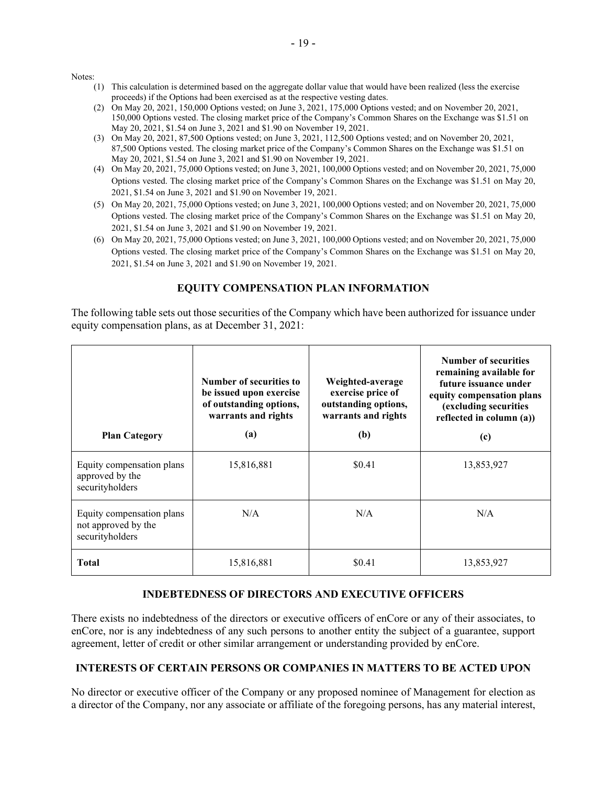Notes:

- (1) This calculation is determined based on the aggregate dollar value that would have been realized (less the exercise proceeds) if the Options had been exercised as at the respective vesting dates.
- (2) On May 20, 2021, 150,000 Options vested; on June 3, 2021, 175,000 Options vested; and on November 20, 2021, 150,000 Options vested. The closing market price of the Company's Common Shares on the Exchange was \$1.51 on May 20, 2021, \$1.54 on June 3, 2021 and \$1.90 on November 19, 2021.
- (3) On May 20, 2021, 87,500 Options vested; on June 3, 2021, 112,500 Options vested; and on November 20, 2021, 87,500 Options vested. The closing market price of the Company's Common Shares on the Exchange was \$1.51 on May 20, 2021, \$1.54 on June 3, 2021 and \$1.90 on November 19, 2021.
- (4) On May 20, 2021, 75,000 Options vested; on June 3, 2021, 100,000 Options vested; and on November 20, 2021, 75,000 Options vested. The closing market price of the Company's Common Shares on the Exchange was \$1.51 on May 20, 2021, \$1.54 on June 3, 2021 and \$1.90 on November 19, 2021.
- (5) On May 20, 2021, 75,000 Options vested; on June 3, 2021, 100,000 Options vested; and on November 20, 2021, 75,000 Options vested. The closing market price of the Company's Common Shares on the Exchange was \$1.51 on May 20, 2021, \$1.54 on June 3, 2021 and \$1.90 on November 19, 2021.
- (6) On May 20, 2021, 75,000 Options vested; on June 3, 2021, 100,000 Options vested; and on November 20, 2021, 75,000 Options vested. The closing market price of the Company's Common Shares on the Exchange was \$1.51 on May 20, 2021, \$1.54 on June 3, 2021 and \$1.90 on November 19, 2021.

## **EQUITY COMPENSATION PLAN INFORMATION**

The following table sets out those securities of the Company which have been authorized for issuance under equity compensation plans, as at December 31, 2021:

| <b>Plan Category</b>                                                | Number of securities to<br>be issued upon exercise<br>of outstanding options,<br>warrants and rights<br>(a) | Weighted-average<br>exercise price of<br>outstanding options,<br>warrants and rights<br>(b) | <b>Number of securities</b><br>remaining available for<br>future issuance under<br>equity compensation plans<br>(excluding securities<br>reflected in column (a))<br>(c) |
|---------------------------------------------------------------------|-------------------------------------------------------------------------------------------------------------|---------------------------------------------------------------------------------------------|--------------------------------------------------------------------------------------------------------------------------------------------------------------------------|
| Equity compensation plans<br>approved by the<br>securityholders     | 15,816,881                                                                                                  | \$0.41                                                                                      | 13,853,927                                                                                                                                                               |
| Equity compensation plans<br>not approved by the<br>securityholders | N/A                                                                                                         | N/A                                                                                         | N/A                                                                                                                                                                      |
| <b>Total</b>                                                        | 15,816,881                                                                                                  | \$0.41                                                                                      | 13,853,927                                                                                                                                                               |

# **INDEBTEDNESS OF DIRECTORS AND EXECUTIVE OFFICERS**

There exists no indebtedness of the directors or executive officers of enCore or any of their associates, to enCore, nor is any indebtedness of any such persons to another entity the subject of a guarantee, support agreement, letter of credit or other similar arrangement or understanding provided by enCore.

### **INTERESTS OF CERTAIN PERSONS OR COMPANIES IN MATTERS TO BE ACTED UPON**

No director or executive officer of the Company or any proposed nominee of Management for election as a director of the Company, nor any associate or affiliate of the foregoing persons, has any material interest,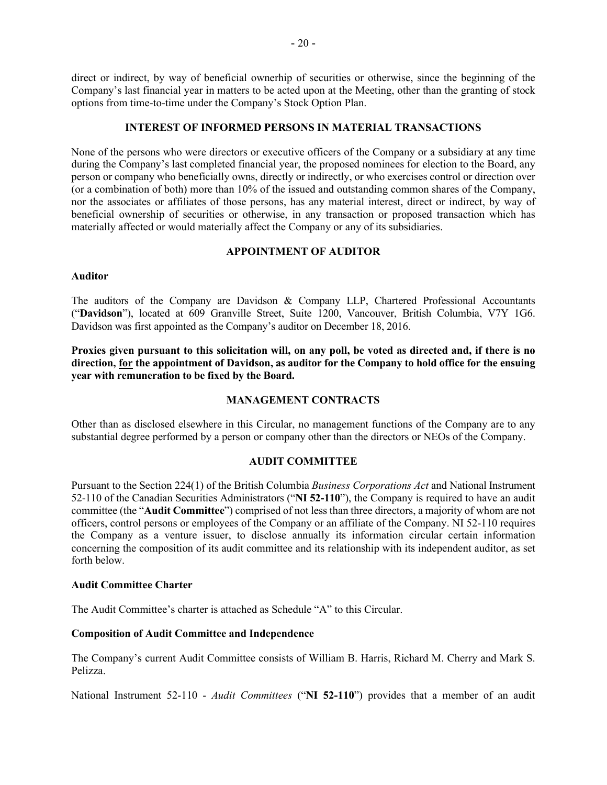direct or indirect, by way of beneficial ownerhip of securities or otherwise, since the beginning of the Company's last financial year in matters to be acted upon at the Meeting, other than the granting of stock options from time-to-time under the Company's Stock Option Plan.

### **INTEREST OF INFORMED PERSONS IN MATERIAL TRANSACTIONS**

None of the persons who were directors or executive officers of the Company or a subsidiary at any time during the Company's last completed financial year, the proposed nominees for election to the Board, any person or company who beneficially owns, directly or indirectly, or who exercises control or direction over (or a combination of both) more than 10% of the issued and outstanding common shares of the Company, nor the associates or affiliates of those persons, has any material interest, direct or indirect, by way of beneficial ownership of securities or otherwise, in any transaction or proposed transaction which has materially affected or would materially affect the Company or any of its subsidiaries.

### **APPOINTMENT OF AUDITOR**

#### **Auditor**

The auditors of the Company are Davidson & Company LLP, Chartered Professional Accountants ("**Davidson**"), located at 609 Granville Street, Suite 1200, Vancouver, British Columbia, V7Y 1G6. Davidson was first appointed as the Company's auditor on December 18, 2016.

**Proxies given pursuant to this solicitation will, on any poll, be voted as directed and, if there is no direction, for the appointment of Davidson, as auditor for the Company to hold office for the ensuing year with remuneration to be fixed by the Board.**

### **MANAGEMENT CONTRACTS**

Other than as disclosed elsewhere in this Circular, no management functions of the Company are to any substantial degree performed by a person or company other than the directors or NEOs of the Company.

### **AUDIT COMMITTEE**

Pursuant to the Section 224(1) of the British Columbia *Business Corporations Act* and National Instrument 52-110 of the Canadian Securities Administrators ("**NI 52-110**"), the Company is required to have an audit committee (the "**Audit Committee**") comprised of not less than three directors, a majority of whom are not officers, control persons or employees of the Company or an affiliate of the Company. NI 52-110 requires the Company as a venture issuer, to disclose annually its information circular certain information concerning the composition of its audit committee and its relationship with its independent auditor, as set forth below.

#### **Audit Committee Charter**

The Audit Committee's charter is attached as Schedule "A" to this Circular.

#### **Composition of Audit Committee and Independence**

The Company's current Audit Committee consists of William B. Harris, Richard M. Cherry and Mark S. Pelizza.

National Instrument 52-110 - *Audit Committees* ("**NI 52-110**") provides that a member of an audit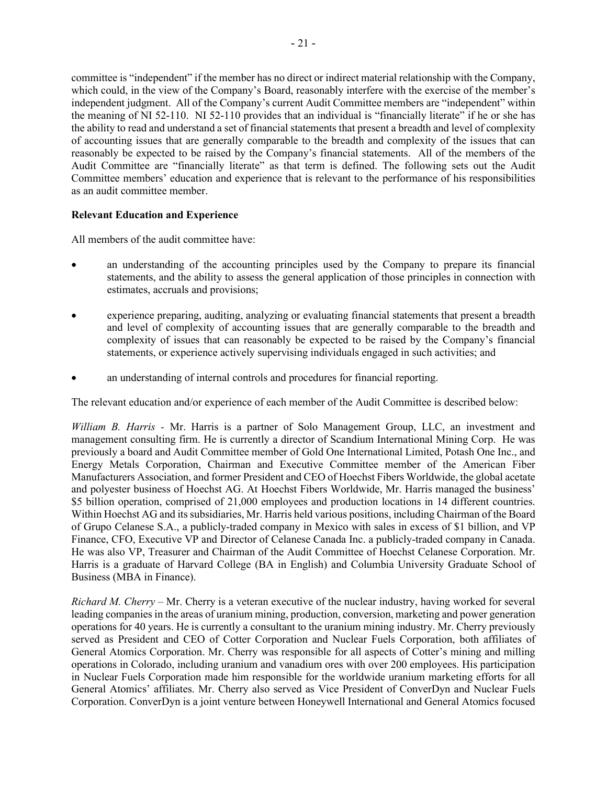committee is "independent" if the member has no direct or indirect material relationship with the Company, which could, in the view of the Company's Board, reasonably interfere with the exercise of the member's independent judgment. All of the Company's current Audit Committee members are "independent" within the meaning of NI 52-110. NI 52-110 provides that an individual is "financially literate" if he or she has the ability to read and understand a set of financial statements that present a breadth and level of complexity of accounting issues that are generally comparable to the breadth and complexity of the issues that can reasonably be expected to be raised by the Company's financial statements. All of the members of the Audit Committee are "financially literate" as that term is defined. The following sets out the Audit Committee members' education and experience that is relevant to the performance of his responsibilities as an audit committee member.

### **Relevant Education and Experience**

All members of the audit committee have:

- an understanding of the accounting principles used by the Company to prepare its financial statements, and the ability to assess the general application of those principles in connection with estimates, accruals and provisions;
- experience preparing, auditing, analyzing or evaluating financial statements that present a breadth and level of complexity of accounting issues that are generally comparable to the breadth and complexity of issues that can reasonably be expected to be raised by the Company's financial statements, or experience actively supervising individuals engaged in such activities; and
- an understanding of internal controls and procedures for financial reporting.

The relevant education and/or experience of each member of the Audit Committee is described below:

*William B. Harris -* Mr. Harris is a partner of Solo Management Group, LLC, an investment and management consulting firm. He is currently a director of Scandium International Mining Corp. He was previously a board and Audit Committee member of Gold One International Limited, Potash One Inc., and Energy Metals Corporation, Chairman and Executive Committee member of the American Fiber Manufacturers Association, and former President and CEO of Hoechst Fibers Worldwide, the global acetate and polyester business of Hoechst AG. At Hoechst Fibers Worldwide, Mr. Harris managed the business' \$5 billion operation, comprised of 21,000 employees and production locations in 14 different countries. Within Hoechst AG and its subsidiaries, Mr. Harris held various positions, including Chairman of the Board of Grupo Celanese S.A., a publicly-traded company in Mexico with sales in excess of \$1 billion, and VP Finance, CFO, Executive VP and Director of Celanese Canada Inc. a publicly-traded company in Canada. He was also VP, Treasurer and Chairman of the Audit Committee of Hoechst Celanese Corporation. Mr. Harris is a graduate of Harvard College (BA in English) and Columbia University Graduate School of Business (MBA in Finance).

*Richard M. Cherry* – Mr. Cherry is a veteran executive of the nuclear industry, having worked for several leading companies in the areas of uranium mining, production, conversion, marketing and power generation operations for 40 years. He is currently a consultant to the uranium mining industry. Mr. Cherry previously served as President and CEO of Cotter Corporation and Nuclear Fuels Corporation, both affiliates of General Atomics Corporation. Mr. Cherry was responsible for all aspects of Cotter's mining and milling operations in Colorado, including uranium and vanadium ores with over 200 employees. His participation in Nuclear Fuels Corporation made him responsible for the worldwide uranium marketing efforts for all General Atomics' affiliates. Mr. Cherry also served as Vice President of ConverDyn and Nuclear Fuels Corporation. ConverDyn is a joint venture between Honeywell International and General Atomics focused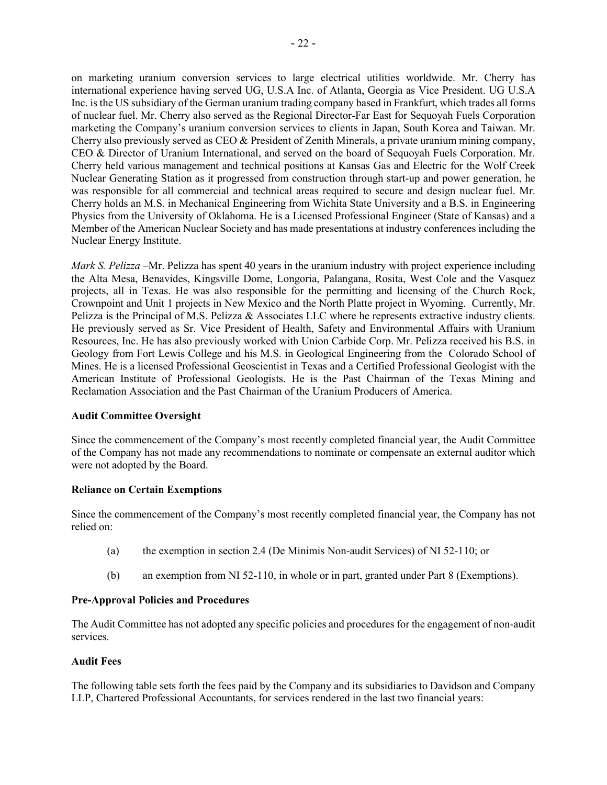on marketing uranium conversion services to large electrical utilities worldwide. Mr. Cherry has international experience having served UG, U.S.A Inc. of Atlanta, Georgia as Vice President. UG U.S.A Inc. is the US subsidiary of the German uranium trading company based in Frankfurt, which trades all forms of nuclear fuel. Mr. Cherry also served as the Regional Director-Far East for Sequoyah Fuels Corporation marketing the Company's uranium conversion services to clients in Japan, South Korea and Taiwan. Mr. Cherry also previously served as CEO & President of Zenith Minerals, a private uranium mining company, CEO & Director of Uranium International, and served on the board of Sequoyah Fuels Corporation. Mr. Cherry held various management and technical positions at Kansas Gas and Electric for the Wolf Creek Nuclear Generating Station as it progressed from construction through start-up and power generation, he was responsible for all commercial and technical areas required to secure and design nuclear fuel. Mr. Cherry holds an M.S. in Mechanical Engineering from Wichita State University and a B.S. in Engineering Physics from the University of Oklahoma. He is a Licensed Professional Engineer (State of Kansas) and a Member of the American Nuclear Society and has made presentations at industry conferences including the Nuclear Energy Institute.

*Mark S. Pelizza* –Mr. Pelizza has spent 40 years in the uranium industry with project experience including the Alta Mesa, Benavides, Kingsville Dome, Longoria, Palangana, Rosita, West Cole and the Vasquez projects, all in Texas. He was also responsible for the permitting and licensing of the Church Rock, Crownpoint and Unit 1 projects in New Mexico and the North Platte project in Wyoming. Currently, Mr. Pelizza is the Principal of M.S. Pelizza & Associates LLC where he represents extractive industry clients. He previously served as Sr. Vice President of Health, Safety and Environmental Affairs with Uranium Resources, Inc. He has also previously worked with Union Carbide Corp. Mr. Pelizza received his B.S. in Geology from Fort Lewis College and his M.S. in Geological Engineering from the Colorado School of Mines. He is a licensed Professional Geoscientist in Texas and a Certified Professional Geologist with the American Institute of Professional Geologists. He is the Past Chairman of the Texas Mining and Reclamation Association and the Past Chairman of the Uranium Producers of America.

#### **Audit Committee Oversight**

Since the commencement of the Company's most recently completed financial year, the Audit Committee of the Company has not made any recommendations to nominate or compensate an external auditor which were not adopted by the Board.

#### **Reliance on Certain Exemptions**

Since the commencement of the Company's most recently completed financial year, the Company has not relied on:

- (a) the exemption in section 2.4 (De Minimis Non-audit Services) of NI 52-110; or
- (b) an exemption from NI 52-110, in whole or in part, granted under Part 8 (Exemptions).

### **Pre-Approval Policies and Procedures**

The Audit Committee has not adopted any specific policies and procedures for the engagement of non-audit services.

### **Audit Fees**

The following table sets forth the fees paid by the Company and its subsidiaries to Davidson and Company LLP, Chartered Professional Accountants, for services rendered in the last two financial years: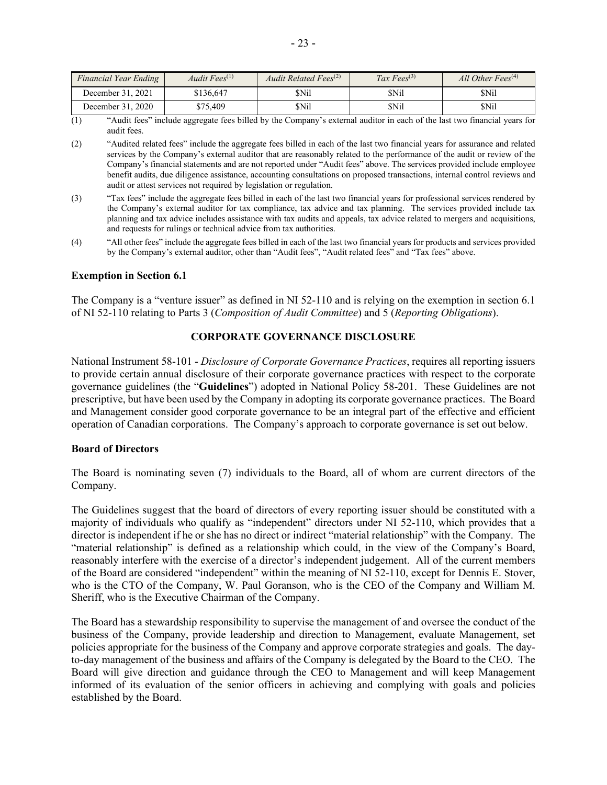| Financial Year Ending | Audit Fees $(1)$ | Audit Related Fees <sup>(2)</sup> | Tax Fees <sup>(3)</sup> | All Other Fees $(4)$ |
|-----------------------|------------------|-----------------------------------|-------------------------|----------------------|
| December 31, 2021     | \$136.647        | \$Nil                             | \$Nil                   | \$Nil                |
| December 31, 2020     | \$75,409         | \$Nil                             | \$Nil                   | \$Nil                |

(1) "Audit fees" include aggregate fees billed by the Company's external auditor in each of the last two financial years for audit fees.

- (2) "Audited related fees" include the aggregate fees billed in each of the last two financial years for assurance and related services by the Company's external auditor that are reasonably related to the performance of the audit or review of the Company's financial statements and are not reported under "Audit fees" above. The services provided include employee benefit audits, due diligence assistance, accounting consultations on proposed transactions, internal control reviews and audit or attest services not required by legislation or regulation.
- (3) "Tax fees" include the aggregate fees billed in each of the last two financial years for professional services rendered by the Company's external auditor for tax compliance, tax advice and tax planning. The services provided include tax planning and tax advice includes assistance with tax audits and appeals, tax advice related to mergers and acquisitions, and requests for rulings or technical advice from tax authorities.
- (4) "All other fees" include the aggregate fees billed in each of the last two financial years for products and services provided by the Company's external auditor, other than "Audit fees", "Audit related fees" and "Tax fees" above.

#### **Exemption in Section 6.1**

The Company is a "venture issuer" as defined in NI 52-110 and is relying on the exemption in section 6.1 of NI 52-110 relating to Parts 3 (*Composition of Audit Committee*) and 5 (*Reporting Obligations*).

#### **CORPORATE GOVERNANCE DISCLOSURE**

National Instrument 58-101 - *Disclosure of Corporate Governance Practices*, requires all reporting issuers to provide certain annual disclosure of their corporate governance practices with respect to the corporate governance guidelines (the "**Guidelines**") adopted in National Policy 58-201. These Guidelines are not prescriptive, but have been used by the Company in adopting its corporate governance practices. The Board and Management consider good corporate governance to be an integral part of the effective and efficient operation of Canadian corporations. The Company's approach to corporate governance is set out below.

#### **Board of Directors**

The Board is nominating seven (7) individuals to the Board, all of whom are current directors of the Company.

The Guidelines suggest that the board of directors of every reporting issuer should be constituted with a majority of individuals who qualify as "independent" directors under NI 52-110, which provides that a director is independent if he or she has no direct or indirect "material relationship" with the Company. The "material relationship" is defined as a relationship which could, in the view of the Company's Board, reasonably interfere with the exercise of a director's independent judgement. All of the current members of the Board are considered "independent" within the meaning of NI 52-110, except for Dennis E. Stover, who is the CTO of the Company, W. Paul Goranson, who is the CEO of the Company and William M. Sheriff, who is the Executive Chairman of the Company.

The Board has a stewardship responsibility to supervise the management of and oversee the conduct of the business of the Company, provide leadership and direction to Management, evaluate Management, set policies appropriate for the business of the Company and approve corporate strategies and goals. The dayto-day management of the business and affairs of the Company is delegated by the Board to the CEO. The Board will give direction and guidance through the CEO to Management and will keep Management informed of its evaluation of the senior officers in achieving and complying with goals and policies established by the Board.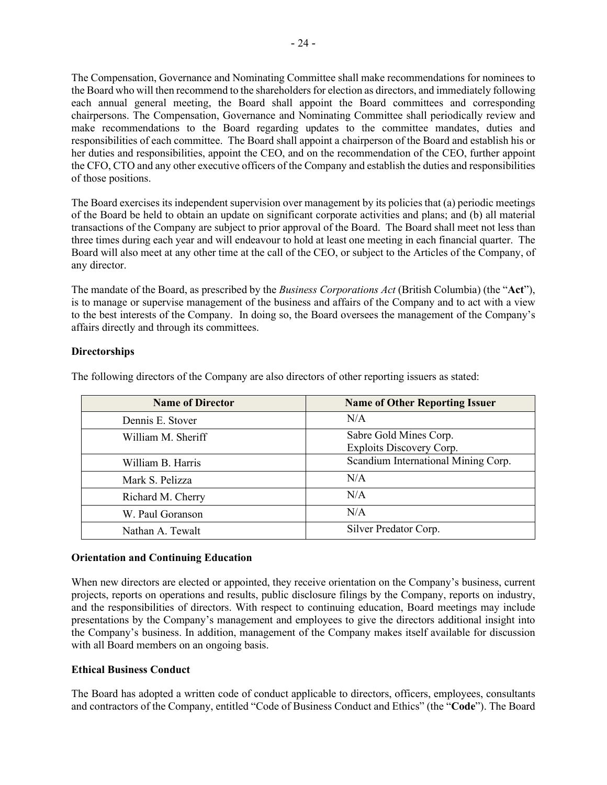The Compensation, Governance and Nominating Committee shall make recommendations for nominees to the Board who will then recommend to the shareholders for election as directors, and immediately following each annual general meeting, the Board shall appoint the Board committees and corresponding chairpersons. The Compensation, Governance and Nominating Committee shall periodically review and make recommendations to the Board regarding updates to the committee mandates, duties and responsibilities of each committee. The Board shall appoint a chairperson of the Board and establish his or her duties and responsibilities, appoint the CEO, and on the recommendation of the CEO, further appoint the CFO, CTO and any other executive officers of the Company and establish the duties and responsibilities of those positions.

The Board exercises its independent supervision over management by its policies that (a) periodic meetings of the Board be held to obtain an update on significant corporate activities and plans; and (b) all material transactions of the Company are subject to prior approval of the Board. The Board shall meet not less than three times during each year and will endeavour to hold at least one meeting in each financial quarter. The Board will also meet at any other time at the call of the CEO, or subject to the Articles of the Company, of any director.

The mandate of the Board, as prescribed by the *Business Corporations Act* (British Columbia) (the "**Act**"), is to manage or supervise management of the business and affairs of the Company and to act with a view to the best interests of the Company. In doing so, the Board oversees the management of the Company's affairs directly and through its committees.

## **Directorships**

| <b>Name of Director</b> | <b>Name of Other Reporting Issuer</b>              |  |
|-------------------------|----------------------------------------------------|--|
| Dennis E. Stover        | N/A                                                |  |
| William M. Sheriff      | Sabre Gold Mines Corp.<br>Exploits Discovery Corp. |  |
| William B. Harris       | Scandium International Mining Corp.                |  |
| Mark S. Pelizza         | N/A                                                |  |
| Richard M. Cherry       | N/A                                                |  |
| W. Paul Goranson        | N/A                                                |  |
| Nathan A. Tewalt        | Silver Predator Corp.                              |  |

The following directors of the Company are also directors of other reporting issuers as stated:

### **Orientation and Continuing Education**

When new directors are elected or appointed, they receive orientation on the Company's business, current projects, reports on operations and results, public disclosure filings by the Company, reports on industry, and the responsibilities of directors. With respect to continuing education, Board meetings may include presentations by the Company's management and employees to give the directors additional insight into the Company's business. In addition, management of the Company makes itself available for discussion with all Board members on an ongoing basis.

### **Ethical Business Conduct**

The Board has adopted a written code of conduct applicable to directors, officers, employees, consultants and contractors of the Company, entitled "Code of Business Conduct and Ethics" (the "**Code**"). The Board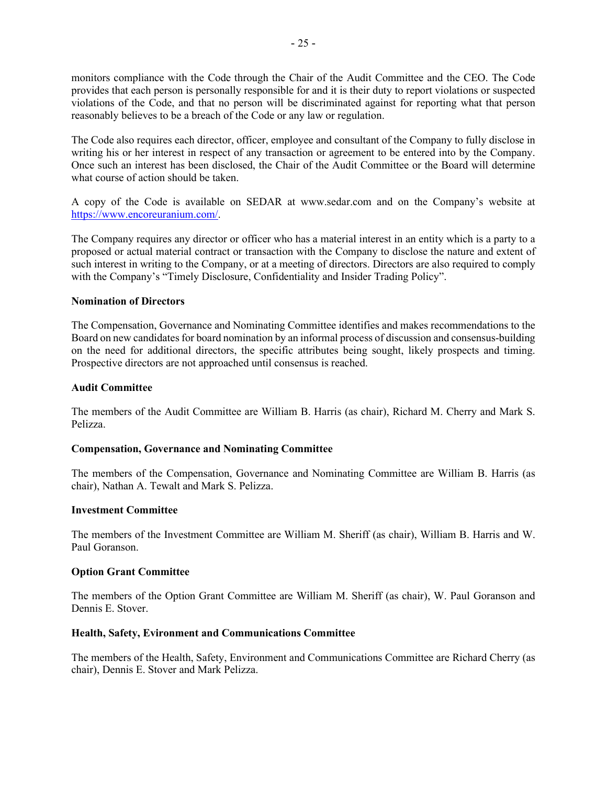monitors compliance with the Code through the Chair of the Audit Committee and the CEO. The Code provides that each person is personally responsible for and it is their duty to report violations or suspected violations of the Code, and that no person will be discriminated against for reporting what that person reasonably believes to be a breach of the Code or any law or regulation.

The Code also requires each director, officer, employee and consultant of the Company to fully disclose in writing his or her interest in respect of any transaction or agreement to be entered into by the Company. Once such an interest has been disclosed, the Chair of the Audit Committee or the Board will determine what course of action should be taken.

A copy of the Code is available on SEDAR at [www.sedar.com](http://www.sedar.com/) and on the Company's website at [https://www.encoreuranium.com/.](https://www.encoreuranium.com/)

The Company requires any director or officer who has a material interest in an entity which is a party to a proposed or actual material contract or transaction with the Company to disclose the nature and extent of such interest in writing to the Company, or at a meeting of directors. Directors are also required to comply with the Company's "Timely Disclosure, Confidentiality and Insider Trading Policy".

#### **Nomination of Directors**

The Compensation, Governance and Nominating Committee identifies and makes recommendations to the Board on new candidates for board nomination by an informal process of discussion and consensus-building on the need for additional directors, the specific attributes being sought, likely prospects and timing. Prospective directors are not approached until consensus is reached.

### **Audit Committee**

The members of the Audit Committee are William B. Harris (as chair), Richard M. Cherry and Mark S. Pelizza.

#### **Compensation, Governance and Nominating Committee**

The members of the Compensation, Governance and Nominating Committee are William B. Harris (as chair), Nathan A. Tewalt and Mark S. Pelizza.

#### **Investment Committee**

The members of the Investment Committee are William M. Sheriff (as chair), William B. Harris and W. Paul Goranson.

#### **Option Grant Committee**

The members of the Option Grant Committee are William M. Sheriff (as chair), W. Paul Goranson and Dennis E. Stover.

#### **Health, Safety, Evironment and Communications Committee**

The members of the Health, Safety, Environment and Communications Committee are Richard Cherry (as chair), Dennis E. Stover and Mark Pelizza.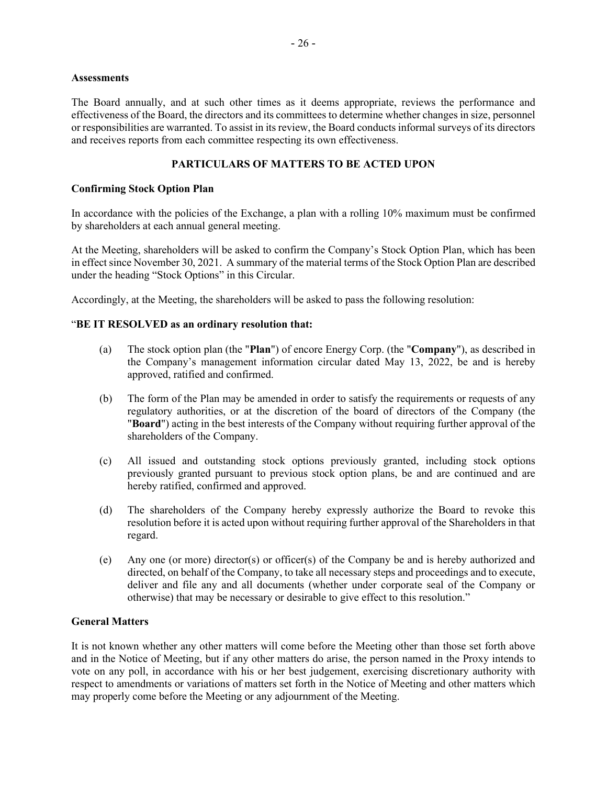#### **Assessments**

The Board annually, and at such other times as it deems appropriate, reviews the performance and effectiveness of the Board, the directors and its committees to determine whether changes in size, personnel or responsibilities are warranted. To assist in its review, the Board conducts informal surveys of its directors and receives reports from each committee respecting its own effectiveness.

### **PARTICULARS OF MATTERS TO BE ACTED UPON**

### **Confirming Stock Option Plan**

In accordance with the policies of the Exchange, a plan with a rolling 10% maximum must be confirmed by shareholders at each annual general meeting.

At the Meeting, shareholders will be asked to confirm the Company's Stock Option Plan, which has been in effect since November 30, 2021. A summary of the material terms of the Stock Option Plan are described under the heading "Stock Options" in this Circular.

Accordingly, at the Meeting, the shareholders will be asked to pass the following resolution:

### "**BE IT RESOLVED as an ordinary resolution that:**

- (a) The stock option plan (the "**Plan**") of encore Energy Corp. (the "**Company**"), as described in the Company's management information circular dated May 13, 2022, be and is hereby approved, ratified and confirmed.
- (b) The form of the Plan may be amended in order to satisfy the requirements or requests of any regulatory authorities, or at the discretion of the board of directors of the Company (the "**Board**") acting in the best interests of the Company without requiring further approval of the shareholders of the Company.
- (c) All issued and outstanding stock options previously granted, including stock options previously granted pursuant to previous stock option plans, be and are continued and are hereby ratified, confirmed and approved.
- (d) The shareholders of the Company hereby expressly authorize the Board to revoke this resolution before it is acted upon without requiring further approval of the Shareholders in that regard.
- (e) Any one (or more) director(s) or officer(s) of the Company be and is hereby authorized and directed, on behalf of the Company, to take all necessary steps and proceedings and to execute, deliver and file any and all documents (whether under corporate seal of the Company or otherwise) that may be necessary or desirable to give effect to this resolution."

# **General Matters**

It is not known whether any other matters will come before the Meeting other than those set forth above and in the Notice of Meeting, but if any other matters do arise, the person named in the Proxy intends to vote on any poll, in accordance with his or her best judgement, exercising discretionary authority with respect to amendments or variations of matters set forth in the Notice of Meeting and other matters which may properly come before the Meeting or any adjournment of the Meeting.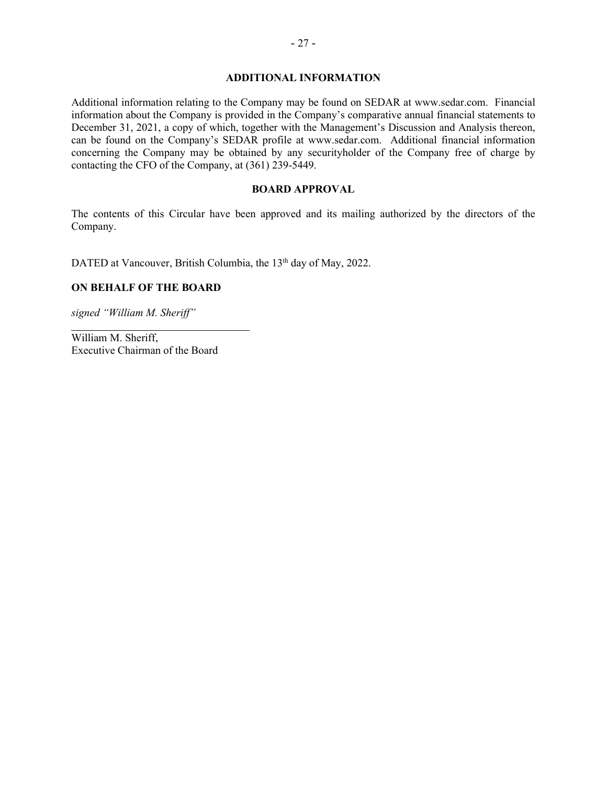### **ADDITIONAL INFORMATION**

Additional information relating to the Company may be found on SEDAR at www.sedar.com. Financial information about the Company is provided in the Company's comparative annual financial statements to December 31, 2021, a copy of which, together with the Management's Discussion and Analysis thereon, can be found on the Company's SEDAR profile at www.sedar.com. Additional financial information concerning the Company may be obtained by any securityholder of the Company free of charge by contacting the CFO of the Company, at (361) 239-5449.

#### **BOARD APPROVAL**

The contents of this Circular have been approved and its mailing authorized by the directors of the Company.

DATED at Vancouver, British Columbia, the 13<sup>th</sup> day of May, 2022.

### **ON BEHALF OF THE BOARD**

*signed "William M. Sheriff"*

William M. Sheriff, Executive Chairman of the Board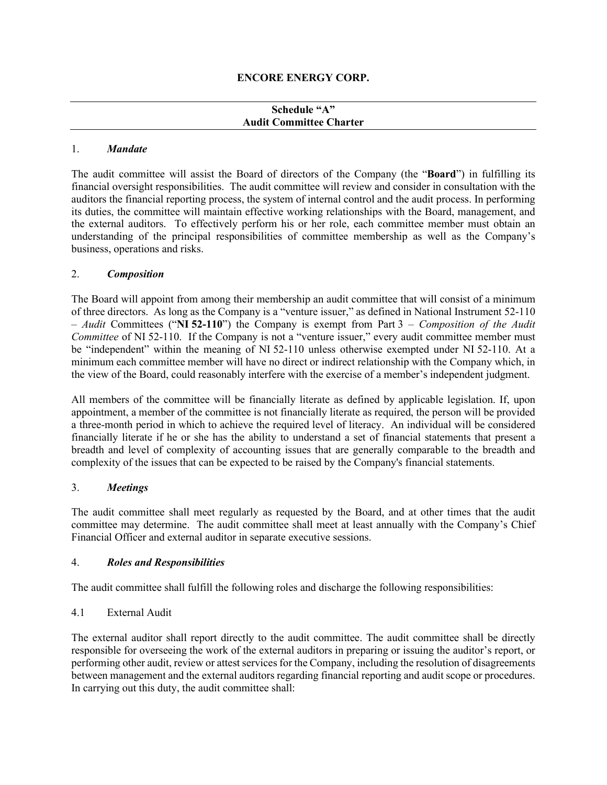### **Schedule "A" Audit Committee Charter**

### 1. *Mandate*

The audit committee will assist the Board of directors of the Company (the "**Board**") in fulfilling its financial oversight responsibilities. The audit committee will review and consider in consultation with the auditors the financial reporting process, the system of internal control and the audit process. In performing its duties, the committee will maintain effective working relationships with the Board, management, and the external auditors. To effectively perform his or her role, each committee member must obtain an understanding of the principal responsibilities of committee membership as well as the Company's business, operations and risks.

## 2. *Composition*

The Board will appoint from among their membership an audit committee that will consist of a minimum of three directors. As long as the Company is a "venture issuer," as defined in National Instrument 52-110 – *Audit* Committees ("**NI 52-110**") the Company is exempt from Part 3 – *Composition of the Audit Committee* of NI 52-110. If the Company is not a "venture issuer," every audit committee member must be "independent" within the meaning of NI 52-110 unless otherwise exempted under NI 52-110. At a minimum each committee member will have no direct or indirect relationship with the Company which, in the view of the Board, could reasonably interfere with the exercise of a member's independent judgment.

All members of the committee will be financially literate as defined by applicable legislation. If, upon appointment, a member of the committee is not financially literate as required, the person will be provided a three-month period in which to achieve the required level of literacy. An individual will be considered financially literate if he or she has the ability to understand a set of financial statements that present a breadth and level of complexity of accounting issues that are generally comparable to the breadth and complexity of the issues that can be expected to be raised by the Company's financial statements.

### 3. *Meetings*

The audit committee shall meet regularly as requested by the Board, and at other times that the audit committee may determine. The audit committee shall meet at least annually with the Company's Chief Financial Officer and external auditor in separate executive sessions.

# 4. *Roles and Responsibilities*

The audit committee shall fulfill the following roles and discharge the following responsibilities:

### 4.1 External Audit

The external auditor shall report directly to the audit committee. The audit committee shall be directly responsible for overseeing the work of the external auditors in preparing or issuing the auditor's report, or performing other audit, review or attest services for the Company, including the resolution of disagreements between management and the external auditors regarding financial reporting and audit scope or procedures. In carrying out this duty, the audit committee shall: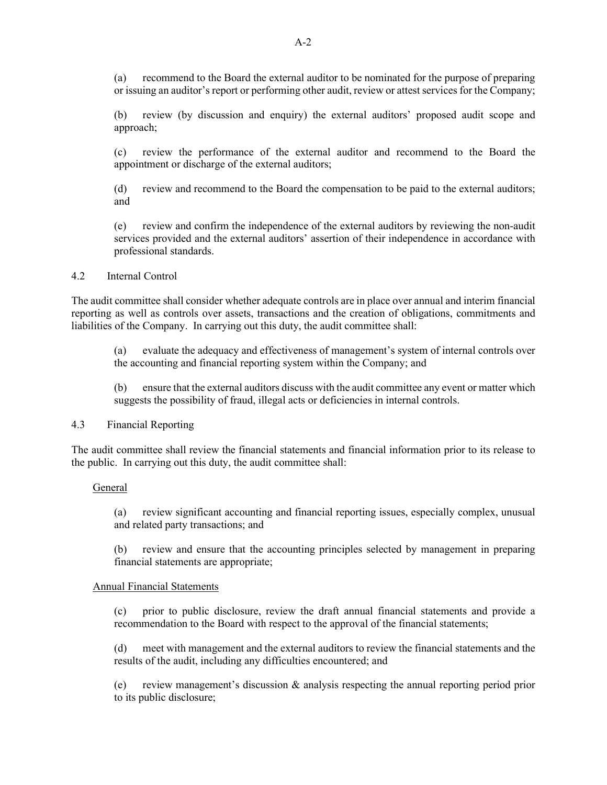(a) recommend to the Board the external auditor to be nominated for the purpose of preparing or issuing an auditor's report or performing other audit, review or attest services for the Company;

(b) review (by discussion and enquiry) the external auditors' proposed audit scope and approach;

(c) review the performance of the external auditor and recommend to the Board the appointment or discharge of the external auditors;

(d) review and recommend to the Board the compensation to be paid to the external auditors; and

(e) review and confirm the independence of the external auditors by reviewing the non-audit services provided and the external auditors' assertion of their independence in accordance with professional standards.

#### 4.2 Internal Control

The audit committee shall consider whether adequate controls are in place over annual and interim financial reporting as well as controls over assets, transactions and the creation of obligations, commitments and liabilities of the Company. In carrying out this duty, the audit committee shall:

(a) evaluate the adequacy and effectiveness of management's system of internal controls over the accounting and financial reporting system within the Company; and

(b) ensure that the external auditors discuss with the audit committee any event or matter which suggests the possibility of fraud, illegal acts or deficiencies in internal controls.

### 4.3 Financial Reporting

The audit committee shall review the financial statements and financial information prior to its release to the public. In carrying out this duty, the audit committee shall:

#### General

(a) review significant accounting and financial reporting issues, especially complex, unusual and related party transactions; and

(b) review and ensure that the accounting principles selected by management in preparing financial statements are appropriate;

#### Annual Financial Statements

(c) prior to public disclosure, review the draft annual financial statements and provide a recommendation to the Board with respect to the approval of the financial statements;

(d) meet with management and the external auditors to review the financial statements and the results of the audit, including any difficulties encountered; and

(e) review management's discussion & analysis respecting the annual reporting period prior to its public disclosure;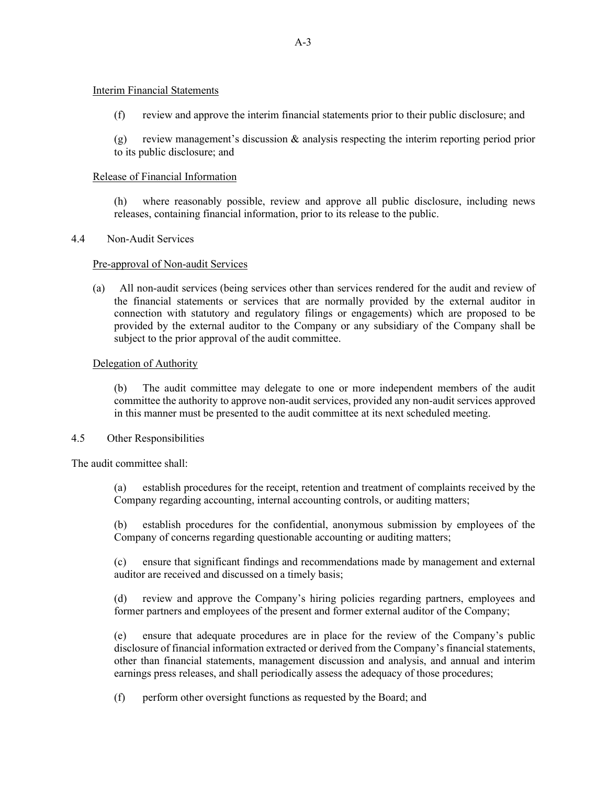### Interim Financial Statements

(f) review and approve the interim financial statements prior to their public disclosure; and

(g) review management's discussion & analysis respecting the interim reporting period prior to its public disclosure; and

### Release of Financial Information

(h) where reasonably possible, review and approve all public disclosure, including news releases, containing financial information, prior to its release to the public.

### 4.4 Non-Audit Services

### Pre-approval of Non-audit Services

(a) All non-audit services (being services other than services rendered for the audit and review of the financial statements or services that are normally provided by the external auditor in connection with statutory and regulatory filings or engagements) which are proposed to be provided by the external auditor to the Company or any subsidiary of the Company shall be subject to the prior approval of the audit committee.

### Delegation of Authority

(b) The audit committee may delegate to one or more independent members of the audit committee the authority to approve non-audit services, provided any non-audit services approved in this manner must be presented to the audit committee at its next scheduled meeting.

#### 4.5 Other Responsibilities

The audit committee shall:

(a) establish procedures for the receipt, retention and treatment of complaints received by the Company regarding accounting, internal accounting controls, or auditing matters;

(b) establish procedures for the confidential, anonymous submission by employees of the Company of concerns regarding questionable accounting or auditing matters;

(c) ensure that significant findings and recommendations made by management and external auditor are received and discussed on a timely basis;

(d) review and approve the Company's hiring policies regarding partners, employees and former partners and employees of the present and former external auditor of the Company;

(e) ensure that adequate procedures are in place for the review of the Company's public disclosure of financial information extracted or derived from the Company's financial statements, other than financial statements, management discussion and analysis, and annual and interim earnings press releases, and shall periodically assess the adequacy of those procedures;

(f) perform other oversight functions as requested by the Board; and